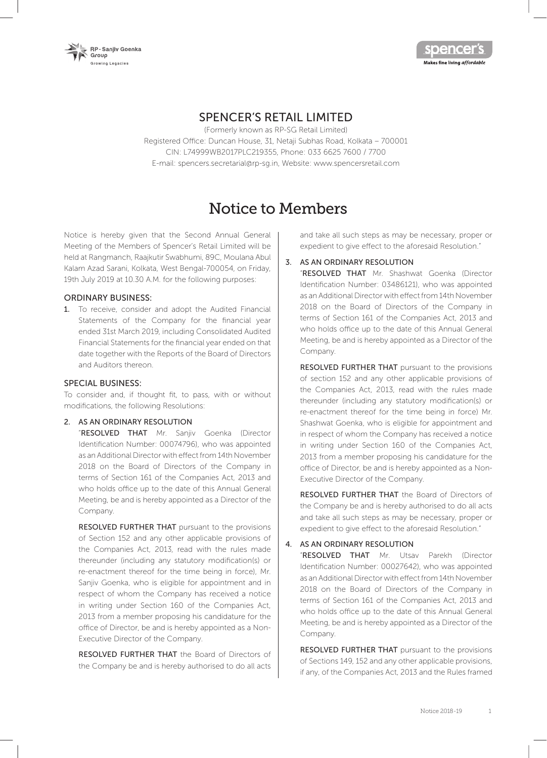



# SPENCER'S RETAIL LIMITED

(Formerly known as RP-SG Retail Limited) Registered Office: Duncan House, 31, Netaji Subhas Road, Kolkata – 700001 CIN: L74999WB2017PLC219355, Phone: 033 6625 7600 / 7700 E-mail: spencers.secretarial@rp-sg.in, Website: www.spencersretail.com

# Notice to Members

Notice is hereby given that the Second Annual General Meeting of the Members of Spencer's Retail Limited will be held at Rangmanch, Raajkutir Swabhumi, 89C, Moulana Abul Kalam Azad Sarani, Kolkata, West Bengal-700054, on Friday, 19th July 2019 at 10.30 A.M. for the following purposes:

#### ORDINARY BUSINESS:

1. To receive, consider and adopt the Audited Financial Statements of the Company for the financial year ended 31st March 2019, including Consolidated Audited Financial Statements for the financial year ended on that date together with the Reports of the Board of Directors and Auditors thereon.

#### SPECIAL BUSINESS:

To consider and, if thought fit, to pass, with or without modifications, the following Resolutions:

#### 2. AS AN ORDINARY RESOLUTION

"RESOLVED THAT Mr. Sanjiv Goenka (Director Identification Number: 00074796), who was appointed as an Additional Director with effect from 14th November 2018 on the Board of Directors of the Company in terms of Section 161 of the Companies Act, 2013 and who holds office up to the date of this Annual General Meeting, be and is hereby appointed as a Director of the Company.

RESOLVED FURTHER THAT pursuant to the provisions of Section 152 and any other applicable provisions of the Companies Act, 2013, read with the rules made thereunder (including any statutory modification(s) or re-enactment thereof for the time being in force), Mr. Sanjiv Goenka, who is eligible for appointment and in respect of whom the Company has received a notice in writing under Section 160 of the Companies Act, 2013 from a member proposing his candidature for the office of Director, be and is hereby appointed as a Non-Executive Director of the Company.

RESOLVED FURTHER THAT the Board of Directors of the Company be and is hereby authorised to do all acts and take all such steps as may be necessary, proper or expedient to give effect to the aforesaid Resolution."

# 3. AS AN ORDINARY RESOLUTION

"RESOLVED THAT Mr. Shashwat Goenka (Director Identification Number: 03486121), who was appointed as an Additional Director with effect from 14th November 2018 on the Board of Directors of the Company in terms of Section 161 of the Companies Act, 2013 and who holds office up to the date of this Annual General Meeting, be and is hereby appointed as a Director of the Company.

RESOLVED FURTHER THAT pursuant to the provisions of section 152 and any other applicable provisions of the Companies Act, 2013, read with the rules made thereunder (including any statutory modification(s) or re-enactment thereof for the time being in force) Mr. Shashwat Goenka, who is eligible for appointment and in respect of whom the Company has received a notice in writing under Section 160 of the Companies Act, 2013 from a member proposing his candidature for the office of Director, be and is hereby appointed as a Non-Executive Director of the Company.

RESOLVED FURTHER THAT the Board of Directors of the Company be and is hereby authorised to do all acts and take all such steps as may be necessary, proper or expedient to give effect to the aforesaid Resolution."

# 4. AS AN ORDINARY RESOLUTION

"RESOLVED THAT Mr. Utsav Parekh (Director Identification Number: 00027642), who was appointed as an Additional Director with effect from 14th November 2018 on the Board of Directors of the Company in terms of Section 161 of the Companies Act, 2013 and who holds office up to the date of this Annual General Meeting, be and is hereby appointed as a Director of the Company.

RESOLVED FURTHER THAT pursuant to the provisions of Sections 149, 152 and any other applicable provisions, if any, of the Companies Act, 2013 and the Rules framed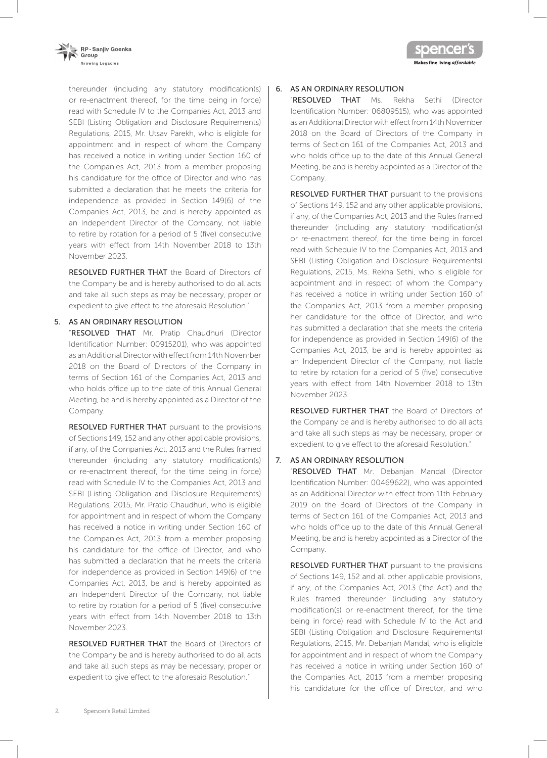



thereunder (including any statutory modification(s) or re-enactment thereof, for the time being in force) read with Schedule IV to the Companies Act, 2013 and SEBI (Listing Obligation and Disclosure Requirements) Regulations, 2015, Mr. Utsav Parekh, who is eligible for appointment and in respect of whom the Company has received a notice in writing under Section 160 of the Companies Act, 2013 from a member proposing his candidature for the office of Director and who has submitted a declaration that he meets the criteria for independence as provided in Section 149(6) of the Companies Act, 2013, be and is hereby appointed as an Independent Director of the Company, not liable to retire by rotation for a period of 5 (five) consecutive years with effect from 14th November 2018 to 13th November 2023.

RESOLVED FURTHER THAT the Board of Directors of the Company be and is hereby authorised to do all acts and take all such steps as may be necessary, proper or expedient to give effect to the aforesaid Resolution."

# 5. AS AN ORDINARY RESOLUTION

"RESOLVED THAT Mr. Pratip Chaudhuri (Director Identification Number: 00915201), who was appointed as an Additional Director with effect from 14th November 2018 on the Board of Directors of the Company in terms of Section 161 of the Companies Act, 2013 and who holds office up to the date of this Annual General Meeting, be and is hereby appointed as a Director of the Company.

RESOLVED FURTHER THAT pursuant to the provisions of Sections 149, 152 and any other applicable provisions, if any, of the Companies Act, 2013 and the Rules framed thereunder (including any statutory modification(s) or re-enactment thereof, for the time being in force) read with Schedule IV to the Companies Act, 2013 and SEBI (Listing Obligation and Disclosure Requirements) Regulations, 2015, Mr. Pratip Chaudhuri, who is eligible for appointment and in respect of whom the Company has received a notice in writing under Section 160 of the Companies Act, 2013 from a member proposing his candidature for the office of Director, and who has submitted a declaration that he meets the criteria for independence as provided in Section 149(6) of the Companies Act, 2013, be and is hereby appointed as an Independent Director of the Company, not liable to retire by rotation for a period of 5 (five) consecutive years with effect from 14th November 2018 to 13th November 2023.

RESOLVED FURTHER THAT the Board of Directors of the Company be and is hereby authorised to do all acts and take all such steps as may be necessary, proper or expedient to give effect to the aforesaid Resolution."

# 6. AS AN ORDINARY RESOLUTION

"RESOLVED THAT Ms. Rekha Sethi (Director Identification Number: 06809515), who was appointed as an Additional Director with effect from 14th November 2018 on the Board of Directors of the Company in terms of Section 161 of the Companies Act, 2013 and who holds office up to the date of this Annual General Meeting, be and is hereby appointed as a Director of the Company.

RESOLVED FURTHER THAT pursuant to the provisions of Sections 149, 152 and any other applicable provisions, if any, of the Companies Act, 2013 and the Rules framed thereunder (including any statutory modification(s) or re-enactment thereof, for the time being in force) read with Schedule IV to the Companies Act, 2013 and SEBI (Listing Obligation and Disclosure Requirements) Regulations, 2015, Ms. Rekha Sethi, who is eligible for appointment and in respect of whom the Company has received a notice in writing under Section 160 of the Companies Act, 2013 from a member proposing her candidature for the office of Director, and who has submitted a declaration that she meets the criteria for independence as provided in Section 149(6) of the Companies Act, 2013, be and is hereby appointed as an Independent Director of the Company, not liable to retire by rotation for a period of 5 (five) consecutive years with effect from 14th November 2018 to 13th November 2023.

RESOLVED FURTHER THAT the Board of Directors of the Company be and is hereby authorised to do all acts and take all such steps as may be necessary, proper or expedient to give effect to the aforesaid Resolution."

### 7. AS AN ORDINARY RESOLUTION

"RESOLVED THAT Mr. Debanjan Mandal (Director Identification Number: 00469622), who was appointed as an Additional Director with effect from 11th February 2019 on the Board of Directors of the Company in terms of Section 161 of the Companies Act, 2013 and who holds office up to the date of this Annual General Meeting, be and is hereby appointed as a Director of the Company.

RESOLVED FURTHER THAT pursuant to the provisions of Sections 149, 152 and all other applicable provisions, if any, of the Companies Act, 2013 ('the Act') and the Rules framed thereunder (including any statutory modification(s) or re-enactment thereof, for the time being in force) read with Schedule IV to the Act and SEBI (Listing Obligation and Disclosure Requirements) Regulations, 2015, Mr. Debanjan Mandal, who is eligible for appointment and in respect of whom the Company has received a notice in writing under Section 160 of the Companies Act, 2013 from a member proposing his candidature for the office of Director, and who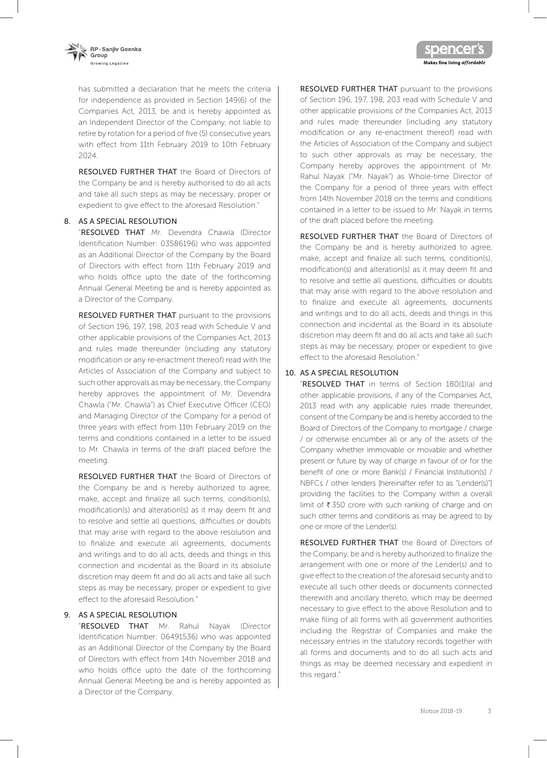

has submitted a declaration that he meets the criteria for independence as provided in Section 149(6) of the Companies Act, 2013, be and is hereby appointed as an Independent Director of the Company, not liable to retire by rotation for a period of five (5) consecutive years with effect from 11th February 2019 to 10th February 2024.

RESOLVED FURTHER THAT the Board of Directors of the Company be and is hereby authorised to do all acts and take all such steps as may be necessary, proper or expedient to give effect to the aforesaid Resolution."

### 8. AS A SPECIAL RESOLUTION

"RESOLVED THAT Mr. Devendra Chawla (Director Identification Number: 03586196) who was appointed as an Additional Director of the Company by the Board of Directors with effect from 11th February 2019 and who holds office upto the date of the forthcoming Annual General Meeting be and is hereby appointed as a Director of the Company.

RESOLVED FURTHER THAT pursuant to the provisions of Section 196, 197, 198, 203 read with Schedule V and other applicable provisions of the Companies Act, 2013 and rules made thereunder (including any statutory modification or any re-enactment thereof) read with the Articles of Association of the Company and subject to such other approvals as may be necessary, the Company hereby approves the appointment of Mr. Devendra Chawla ("Mr. Chawla") as Chief Executive Officer (CEO) and Managing Director of the Company for a period of three years with effect from 11th February 2019 on the terms and conditions contained in a letter to be issued to Mr. Chawla in terms of the draft placed before the meeting.

RESOLVED FURTHER THAT the Board of Directors of the Company be and is hereby authorized to agree, make, accept and finalize all such terms, condition(s), modification(s) and alteration(s) as it may deem fit and to resolve and settle all questions, difficulties or doubts that may arise with regard to the above resolution and to finalize and execute all agreements, documents and writings and to do all acts, deeds and things in this connection and incidental as the Board in its absolute discretion may deem fit and do all acts and take all such steps as may be necessary, proper or expedient to give effect to the aforesaid Resolution."

# 9. AS A SPECIAL RESOLUTION

"RESOLVED THAT Mr. Rahul Nayak (Director Identification Number: 06491536) who was appointed as an Additional Director of the Company by the Board of Directors with effect from 14th November 2018 and who holds office upto the date of the forthcoming Annual General Meeting be and is hereby appointed as a Director of the Company.

RESOLVED FURTHER THAT pursuant to the provisions of Section 196, 197, 198, 203 read with Schedule V and other applicable provisions of the Companies Act, 2013 and rules made thereunder (including any statutory modification or any re-enactment thereof) read with the Articles of Association of the Company and subject to such other approvals as may be necessary, the Company hereby approves the appointment of Mr. Rahul Nayak ("Mr. Nayak") as Whole-time Director of the Company for a period of three years with effect from 14th November 2018 on the terms and conditions contained in a letter to be issued to Mr. Nayak in terms of the draft placed before the meeting.

Makes fine living affordable

RESOLVED FURTHER THAT the Board of Directors of the Company be and is hereby authorized to agree, make, accept and finalize all such terms, condition(s), modification(s) and alteration(s) as it may deem fit and to resolve and settle all questions, difficulties or doubts that may arise with regard to the above resolution and to finalize and execute all agreements, documents and writings and to do all acts, deeds and things in this connection and incidental as the Board in its absolute discretion may deem fit and do all acts and take all such steps as may be necessary, proper or expedient to give effect to the aforesaid Resolution."

# 10. AS A SPECIAL RESOLUTION

"RESOLVED THAT in terms of Section 180(1)(a) and other applicable provisions, if any of the Companies Act, 2013 read with any applicable rules made thereunder, consent of the Company be and is hereby accorded to the Board of Directors of the Company to mortgage / charge / or otherwise encumber all or any of the assets of the Company whether immovable or movable and whether present or future by way of charge in favour of or for the benefit of one or more Bank(s) / Financial Institution(s) / NBFCs / other lenders [hereinafter refer to as "Lender(s)"] providing the facilities to the Company within a overall limit of  $\bar{\tau}$  350 crore with such ranking of charge and on such other terms and conditions as may be agreed to by one or more of the Lender(s).

RESOLVED FURTHER THAT the Board of Directors of the Company, be and is hereby authorized to finalize the arrangement with one or more of the Lender(s) and to give effect to the creation of the aforesaid security and to execute all such other deeds or documents connected therewith and ancillary thereto, which may be deemed necessary to give effect to the above Resolution and to make filing of all forms with all government authorities including the Registrar of Companies and make the necessary entries in the statutory records together with all forms and documents and to do all such acts and things as may be deemed necessary and expedient in this regard."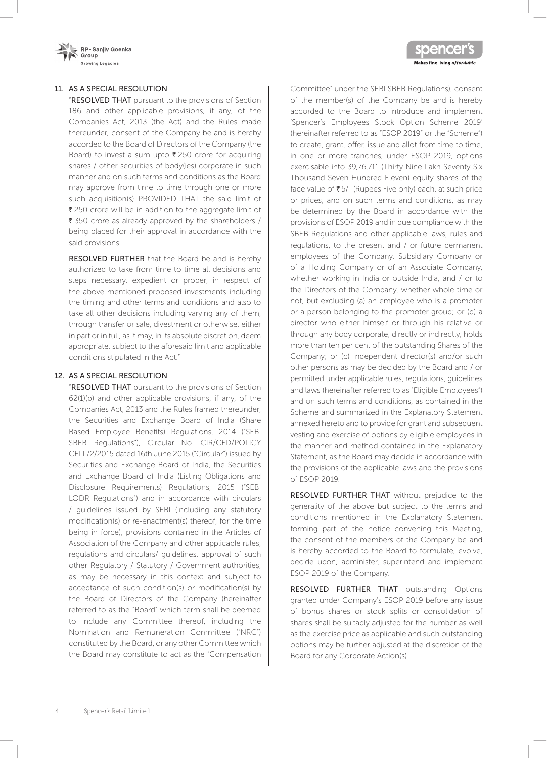

### 11. AS A SPECIAL RESOLUTION

"RESOLVED THAT pursuant to the provisions of Section 186 and other applicable provisions, if any, of the Companies Act, 2013 (the Act) and the Rules made thereunder, consent of the Company be and is hereby accorded to the Board of Directors of the Company (the Board) to invest a sum upto  $\bar{\tau}$  250 crore for acquiring shares / other securities of body(ies) corporate in such manner and on such terms and conditions as the Board may approve from time to time through one or more such acquisition(s) PROVIDED THAT the said limit of  $\bar{\tau}$  250 crore will be in addition to the aggregate limit of  $\overline{\xi}$  350 crore as already approved by the shareholders / being placed for their approval in accordance with the said provisions.

RESOLVED FURTHER that the Board be and is hereby authorized to take from time to time all decisions and steps necessary, expedient or proper, in respect of the above mentioned proposed investments including the timing and other terms and conditions and also to take all other decisions including varying any of them, through transfer or sale, divestment or otherwise, either in part or in full, as it may, in its absolute discretion, deem appropriate, subject to the aforesaid limit and applicable conditions stipulated in the Act."

#### 12. AS A SPECIAL RESOLUTION

"RESOLVED THAT pursuant to the provisions of Section 62(1)(b) and other applicable provisions, if any, of the Companies Act, 2013 and the Rules framed thereunder, the Securities and Exchange Board of India (Share Based Employee Benefits) Regulations, 2014 ("SEBI SBEB Regulations"), Circular No. CIR/CFD/POLICY CELL/2/2015 dated 16th June 2015 ("Circular") issued by Securities and Exchange Board of India, the Securities and Exchange Board of India (Listing Obligations and Disclosure Requirements) Regulations, 2015 ("SEBI LODR Regulations") and in accordance with circulars / guidelines issued by SEBI (including any statutory modification(s) or re-enactment(s) thereof, for the time being in force), provisions contained in the Articles of Association of the Company and other applicable rules, regulations and circulars/ guidelines, approval of such other Regulatory / Statutory / Government authorities, as may be necessary in this context and subject to acceptance of such condition(s) or modification(s) by the Board of Directors of the Company (hereinafter referred to as the "Board" which term shall be deemed to include any Committee thereof, including the Nomination and Remuneration Committee ("NRC") constituted by the Board, or any other Committee which the Board may constitute to act as the "Compensation

Committee" under the SEBI SBEB Regulations), consent of the member(s) of the Company be and is hereby accorded to the Board to introduce and implement 'Spencer's Employees Stock Option Scheme 2019' (hereinafter referred to as "ESOP 2019" or the "Scheme") to create, grant, offer, issue and allot from time to time, in one or more tranches, under ESOP 2019, options exercisable into 39,76,711 (Thirty Nine Lakh Seventy Six Thousand Seven Hundred Eleven) equity shares of the face value of  $\bar{\tau}$  5/- (Rupees Five only) each, at such price or prices, and on such terms and conditions, as may be determined by the Board in accordance with the provisions of ESOP 2019 and in due compliance with the SBEB Regulations and other applicable laws, rules and regulations, to the present and / or future permanent employees of the Company, Subsidiary Company or of a Holding Company or of an Associate Company, whether working in India or outside India, and / or to the Directors of the Company, whether whole time or not, but excluding (a) an employee who is a promoter or a person belonging to the promoter group; or (b) a director who either himself or through his relative or through any body corporate, directly or indirectly, holds more than ten per cent of the outstanding Shares of the Company; or (c) Independent director(s) and/or such other persons as may be decided by the Board and / or permitted under applicable rules, regulations, guidelines and laws (hereinafter referred to as "Eligible Employees") and on such terms and conditions, as contained in the Scheme and summarized in the Explanatory Statement annexed hereto and to provide for grant and subsequent vesting and exercise of options by eligible employees in the manner and method contained in the Explanatory Statement, as the Board may decide in accordance with the provisions of the applicable laws and the provisions of ESOP 2019.

**spencer** 

Makes fine living affordable

RESOLVED FURTHER THAT without prejudice to the generality of the above but subject to the terms and conditions mentioned in the Explanatory Statement forming part of the notice convening this Meeting, the consent of the members of the Company be and is hereby accorded to the Board to formulate, evolve, decide upon, administer, superintend and implement ESOP 2019 of the Company.

RESOLVED FURTHER THAT outstanding Options granted under Company's ESOP 2019 before any issue of bonus shares or stock splits or consolidation of shares shall be suitably adjusted for the number as well as the exercise price as applicable and such outstanding options may be further adjusted at the discretion of the Board for any Corporate Action(s).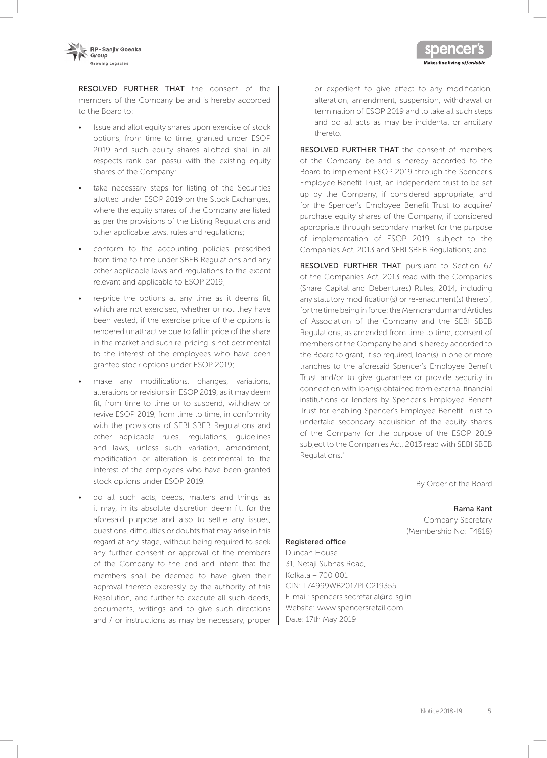

RESOLVED FURTHER THAT the consent of the members of the Company be and is hereby accorded to the Board to:

- Issue and allot equity shares upon exercise of stock options, from time to time, granted under ESOP 2019 and such equity shares allotted shall in all respects rank pari passu with the existing equity shares of the Company;
- take necessary steps for listing of the Securities allotted under ESOP 2019 on the Stock Exchanges, where the equity shares of the Company are listed as per the provisions of the Listing Regulations and other applicable laws, rules and regulations;
- conform to the accounting policies prescribed from time to time under SBEB Regulations and any other applicable laws and regulations to the extent relevant and applicable to ESOP 2019;
- re-price the options at any time as it deems fit, which are not exercised, whether or not they have been vested, if the exercise price of the options is rendered unattractive due to fall in price of the share in the market and such re-pricing is not detrimental to the interest of the employees who have been granted stock options under ESOP 2019;
- make any modifications, changes, variations, alterations or revisions in ESOP 2019, as it may deem fit, from time to time or to suspend, withdraw or revive ESOP 2019, from time to time, in conformity with the provisions of SEBI SBEB Regulations and other applicable rules, regulations, guidelines and laws, unless such variation, amendment, modification or alteration is detrimental to the interest of the employees who have been granted stock options under ESOP 2019.
- do all such acts, deeds, matters and things as it may, in its absolute discretion deem fit, for the aforesaid purpose and also to settle any issues, questions, difficulties or doubts that may arise in this regard at any stage, without being required to seek any further consent or approval of the members of the Company to the end and intent that the members shall be deemed to have given their approval thereto expressly by the authority of this Resolution, and further to execute all such deeds, documents, writings and to give such directions and / or instructions as may be necessary, proper

or expedient to give effect to any modification, alteration, amendment, suspension, withdrawal or termination of ESOP 2019 and to take all such steps and do all acts as may be incidental or ancillary thereto.

Makes fine living affordable

RESOLVED FURTHER THAT the consent of members of the Company be and is hereby accorded to the Board to implement ESOP 2019 through the Spencer's Employee Benefit Trust, an independent trust to be set up by the Company, if considered appropriate, and for the Spencer's Employee Benefit Trust to acquire/ purchase equity shares of the Company, if considered appropriate through secondary market for the purpose of implementation of ESOP 2019, subject to the Companies Act, 2013 and SEBI SBEB Regulations; and

RESOLVED FURTHER THAT pursuant to Section 67 of the Companies Act, 2013 read with the Companies (Share Capital and Debentures) Rules, 2014, including any statutory modification(s) or re-enactment(s) thereof, for the time being in force; the Memorandum and Articles of Association of the Company and the SEBI SBEB Regulations, as amended from time to time, consent of members of the Company be and is hereby accorded to the Board to grant, if so required, loan(s) in one or more tranches to the aforesaid Spencer's Employee Benefit Trust and/or to give guarantee or provide security in connection with loan(s) obtained from external financial institutions or lenders by Spencer's Employee Benefit Trust for enabling Spencer's Employee Benefit Trust to undertake secondary acquisition of the equity shares of the Company for the purpose of the ESOP 2019 subject to the Companies Act, 2013 read with SEBI SBEB Regulations."

By Order of the Board

#### Rama Kant

Company Secretary (Membership No: F4818)

#### Registered office

Duncan House 31, Netaji Subhas Road, Kolkata – 700 001 CIN: L74999WB2017PLC219355 E-mail: spencers.secretarial@rp-sg.in Website: www.spencersretail.com Date: 17th May 2019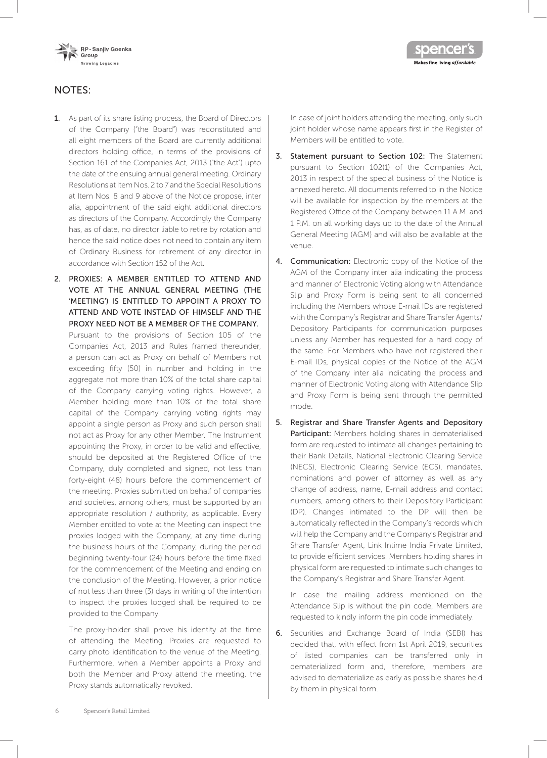



# NOTES:

- 1. As part of its share listing process, the Board of Directors of the Company ("the Board") was reconstituted and all eight members of the Board are currently additional directors holding office, in terms of the provisions of Section 161 of the Companies Act, 2013 ("the Act") upto the date of the ensuing annual general meeting. Ordinary Resolutions at Item Nos. 2 to 7 and the Special Resolutions at Item Nos. 8 and 9 above of the Notice propose, inter alia, appointment of the said eight additional directors as directors of the Company. Accordingly the Company has, as of date, no director liable to retire by rotation and hence the said notice does not need to contain any item of Ordinary Business for retirement of any director in accordance with Section 152 of the Act.
- 2. PROXIES: A MEMBER ENTITLED TO ATTEND AND VOTE AT THE ANNUAL GENERAL MEETING (THE 'MEETING') IS ENTITLED TO APPOINT A PROXY TO ATTEND AND VOTE INSTEAD OF HIMSELF AND THE PROXY NEED NOT BE A MEMBER OF THE COMPANY.

Pursuant to the provisions of Section 105 of the Companies Act, 2013 and Rules framed thereunder, a person can act as Proxy on behalf of Members not exceeding fifty (50) in number and holding in the aggregate not more than 10% of the total share capital of the Company carrying voting rights. However, a Member holding more than 10% of the total share capital of the Company carrying voting rights may appoint a single person as Proxy and such person shall not act as Proxy for any other Member. The Instrument appointing the Proxy, in order to be valid and effective, should be deposited at the Registered Office of the Company, duly completed and signed, not less than forty-eight (48) hours before the commencement of the meeting. Proxies submitted on behalf of companies and societies, among others, must be supported by an appropriate resolution / authority, as applicable. Every Member entitled to vote at the Meeting can inspect the proxies lodged with the Company, at any time during the business hours of the Company, during the period beginning twenty-four (24) hours before the time fixed for the commencement of the Meeting and ending on the conclusion of the Meeting. However, a prior notice of not less than three (3) days in writing of the intention to inspect the proxies lodged shall be required to be provided to the Company.

The proxy-holder shall prove his identity at the time of attending the Meeting. Proxies are requested to carry photo identification to the venue of the Meeting. Furthermore, when a Member appoints a Proxy and both the Member and Proxy attend the meeting, the Proxy stands automatically revoked.

In case of joint holders attending the meeting, only such joint holder whose name appears first in the Register of Members will be entitled to vote.

- 3. Statement pursuant to Section 102: The Statement pursuant to Section 102(1) of the Companies Act, 2013 in respect of the special business of the Notice is annexed hereto. All documents referred to in the Notice will be available for inspection by the members at the Registered Office of the Company between 11 A.M. and 1 P.M. on all working days up to the date of the Annual General Meeting (AGM) and will also be available at the venue.
- 4. Communication: Electronic copy of the Notice of the AGM of the Company inter alia indicating the process and manner of Electronic Voting along with Attendance Slip and Proxy Form is being sent to all concerned including the Members whose E-mail IDs are registered with the Company's Registrar and Share Transfer Agents/ Depository Participants for communication purposes unless any Member has requested for a hard copy of the same. For Members who have not registered their E-mail IDs, physical copies of the Notice of the AGM of the Company inter alia indicating the process and manner of Electronic Voting along with Attendance Slip and Proxy Form is being sent through the permitted mode.
- 5. Registrar and Share Transfer Agents and Depository Participant: Members holding shares in dematerialised form are requested to intimate all changes pertaining to their Bank Details, National Electronic Clearing Service (NECS), Electronic Clearing Service (ECS), mandates, nominations and power of attorney as well as any change of address, name, E-mail address and contact numbers, among others to their Depository Participant (DP). Changes intimated to the DP will then be automatically reflected in the Company's records which will help the Company and the Company's Registrar and Share Transfer Agent, Link Intime India Private Limited, to provide efficient services. Members holding shares in physical form are requested to intimate such changes to the Company's Registrar and Share Transfer Agent.

In case the mailing address mentioned on the Attendance Slip is without the pin code, Members are requested to kindly inform the pin code immediately.

6. Securities and Exchange Board of India (SEBI) has decided that, with effect from 1st April 2019, securities of listed companies can be transferred only in dematerialized form and, therefore, members are advised to dematerialize as early as possible shares held by them in physical form.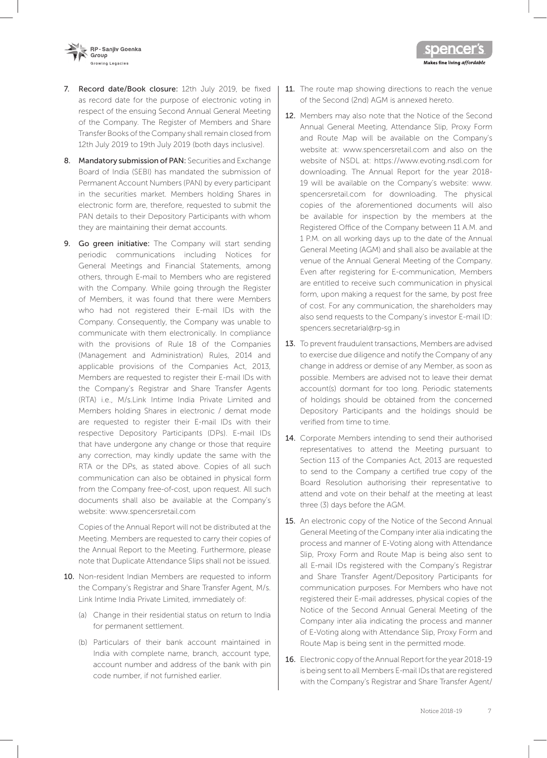

- 7. Record date/Book closure: 12th July 2019, be fixed as record date for the purpose of electronic voting in respect of the ensuing Second Annual General Meeting of the Company. The Register of Members and Share Transfer Books of the Company shall remain closed from 12th July 2019 to 19th July 2019 (both days inclusive).
- 8. Mandatory submission of PAN: Securities and Exchange Board of India (SEBI) has mandated the submission of Permanent Account Numbers (PAN) by every participant in the securities market. Members holding Shares in electronic form are, therefore, requested to submit the PAN details to their Depository Participants with whom they are maintaining their demat accounts.
- 9. Go green initiative: The Company will start sending periodic communications including Notices for General Meetings and Financial Statements, among others, through E-mail to Members who are registered with the Company. While going through the Register of Members, it was found that there were Members who had not registered their E-mail IDs with the Company. Consequently, the Company was unable to communicate with them electronically. In compliance with the provisions of Rule 18 of the Companies (Management and Administration) Rules, 2014 and applicable provisions of the Companies Act, 2013, Members are requested to register their E-mail IDs with the Company's Registrar and Share Transfer Agents (RTA) i.e., M/s.Link Intime India Private Limited and Members holding Shares in electronic / demat mode are requested to register their E-mail IDs with their respective Depository Participants (DPs). E-mail IDs that have undergone any change or those that require any correction, may kindly update the same with the RTA or the DPs, as stated above. Copies of all such communication can also be obtained in physical form from the Company free-of-cost, upon request. All such documents shall also be available at the Company's website: www.spencersretail.com

Copies of the Annual Report will not be distributed at the Meeting. Members are requested to carry their copies of the Annual Report to the Meeting. Furthermore, please note that Duplicate Attendance Slips shall not be issued.

- 10. Non-resident Indian Members are requested to inform the Company's Registrar and Share Transfer Agent, M/s. Link Intime India Private Limited, immediately of:
	- (a) Change in their residential status on return to India for permanent settlement.
	- (b) Particulars of their bank account maintained in India with complete name, branch, account type, account number and address of the bank with pin code number, if not furnished earlier.

11. The route map showing directions to reach the venue of the Second (2nd) AGM is annexed hereto.

Makes fine living affordable

- 12. Members may also note that the Notice of the Second Annual General Meeting, Attendance Slip, Proxy Form and Route Map will be available on the Company's website at: www.spencersretail.com and also on the website of NSDL at: https://www.evoting.nsdl.com for downloading. The Annual Report for the year 2018- 19 will be available on the Company's website: www. spencersretail.com for downloading. The physical copies of the aforementioned documents will also be available for inspection by the members at the Registered Office of the Company between 11 a.m. and 1 p.m. on all working days up to the date of the Annual General Meeting (AGM) and shall also be available at the venue of the Annual General Meeting of the Company. Even after registering for E-communication, Members are entitled to receive such communication in physical form, upon making a request for the same, by post free of cost. For any communication, the shareholders may also send requests to the Company's investor E-mail ID: spencers.secretarial@rp-sg.in
- 13. To prevent fraudulent transactions, Members are advised to exercise due diligence and notify the Company of any change in address or demise of any Member, as soon as possible. Members are advised not to leave their demat account(s) dormant for too long. Periodic statements of holdings should be obtained from the concerned Depository Participants and the holdings should be verified from time to time.
- 14. Corporate Members intending to send their authorised representatives to attend the Meeting pursuant to Section 113 of the Companies Act, 2013 are requested to send to the Company a certified true copy of the Board Resolution authorising their representative to attend and vote on their behalf at the meeting at least three (3) days before the AGM.
- 15. An electronic copy of the Notice of the Second Annual General Meeting of the Company inter alia indicating the process and manner of E-Voting along with Attendance Slip, Proxy Form and Route Map is being also sent to all E-mail IDs registered with the Company's Registrar and Share Transfer Agent/Depository Participants for communication purposes. For Members who have not registered their E-mail addresses, physical copies of the Notice of the Second Annual General Meeting of the Company inter alia indicating the process and manner of E-Voting along with Attendance Slip, Proxy Form and Route Map is being sent in the permitted mode.
- 16. Electronic copy of the Annual Report for the year 2018-19 is being sent to all Members E-mail IDs that are registered with the Company's Registrar and Share Transfer Agent/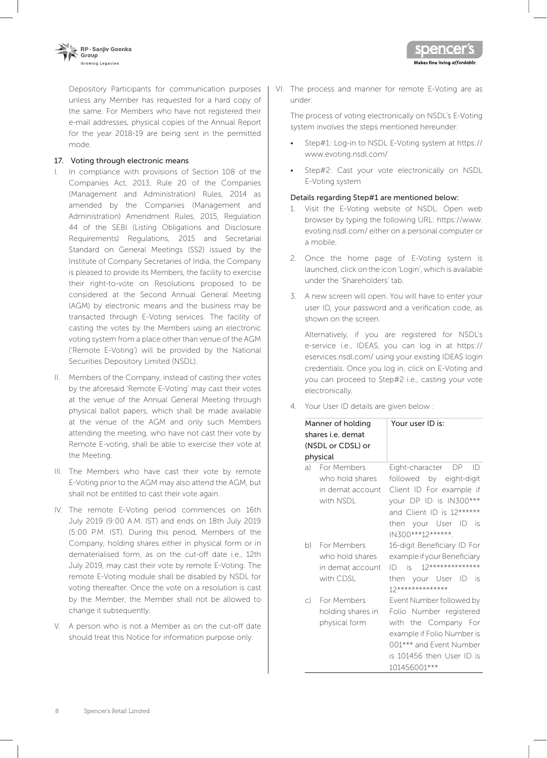

Depository Participants for communication purposes unless any Member has requested for a hard copy of the same. For Members who have not registered their e-mail addresses, physical copies of the Annual Report for the year 2018-19 are being sent in the permitted mode.

#### 17. Voting through electronic means

- I. In compliance with provisions of Section 108 of the Companies Act, 2013, Rule 20 of the Companies (Management and Administration) Rules, 2014 as amended by the Companies (Management and Administration) Amendment Rules, 2015, Regulation 44 of the SEBI (Listing Obligations and Disclosure Requirements) Regulations, 2015 and Secretarial Standard on General Meetings (SS2) issued by the Institute of Company Secretaries of India, the Company is pleased to provide its Members, the facility to exercise their right-to-vote on Resolutions proposed to be considered at the Second Annual General Meeting (AGM) by electronic means and the business may be transacted through E-Voting services. The facility of casting the votes by the Members using an electronic voting system from a place other than venue of the AGM ('Remote E-Voting') will be provided by the National Securities Depository Limited (NSDL).
- II. Members of the Company, instead of casting their votes by the aforesaid 'Remote E-Voting' may cast their votes at the venue of the Annual General Meeting through physical ballot papers, which shall be made available at the venue of the AGM and only such Members attending the meeting, who have not cast their vote by Remote E-voting, shall be able to exercise their vote at the Meeting.
- III. The Members who have cast their vote by remote E-Voting prior to the AGM may also attend the AGM, but shall not be entitled to cast their vote again.
- IV. The remote E-Voting period commences on 16th July 2019 (9:00 A.M. IST) and ends on 18th July 2019 (5:00 P.M. IST). During this period, Members of the Company, holding shares either in physical form or in dematerialised form, as on the cut-off date i.e., 12th July 2019, may cast their vote by remote E-Voting. The remote E-Voting module shall be disabled by NSDL for voting thereafter. Once the vote on a resolution is cast by the Member, the Member shall not be allowed to change it subsequently.
- V. A person who is not a Member as on the cut-off date should treat this Notice for information purpose only.

VI. The process and manner for remote E-Voting are as under:

Makes fine living affordable

The process of voting electronically on NSDL's E-Voting system involves the steps mentioned hereunder:

- Step#1: Log-in to NSDL E-Voting system at https:// www.evoting.nsdl.com/
- Step#2: Cast your vote electronically on NSDL E-Voting system

### Details regarding Step#1 are mentioned below:

- 1. Visit the E-Voting website of NSDL. Open web browser by typing the following URL: https://www. evoting.nsdl.com/ either on a personal computer or a mobile.
- 2. Once the home page of E-Voting system is launched, click on the icon 'Login', which is available under the 'Shareholders' tab.
- 3. A new screen will open. You will have to enter your user ID, your password and a verification code, as shown on the screen.

Alternatively, if you are registered for NSDL's e-service i.e., IDEAS, you can log in at https:// eservices.nsdl.com/ using your existing IDEAS login credentials. Once you log in, click on E-Voting and you can proceed to Step#2 i.e., casting your vote electronically.

4. Your User ID details are given below :

| Manner of holding<br>shares i.e. demat<br>(NSDL or CDSL) or<br>physical |                                                                    | Your user ID is:                                                                                                                                                                        |
|-------------------------------------------------------------------------|--------------------------------------------------------------------|-----------------------------------------------------------------------------------------------------------------------------------------------------------------------------------------|
|                                                                         | a) For Members<br>who hold shares<br>in demat account<br>with NSDL | Eight-character DP<br>ID<br>followed by eight-digit<br>Client ID For example if<br>your DP ID is IN300***<br>and Client ID is 12******<br>then your User ID<br>is.<br>IN300***12******* |
|                                                                         | b) For Members<br>who hold shares<br>in demat account<br>with CDSL | 16-digit Beneficiary ID For<br>example if your Beneficiary<br>$12*******************$<br>$ID$ is<br>then your User<br>ID<br>is.<br>12**************                                     |
| $\mathcal{C}$                                                           | For Members<br>holding shares in<br>physical form                  | Event Number followed by<br>Folio Number registered<br>with the Company For<br>example if Folio Number is<br>001*** and Event Number<br>is 101456 then User ID is<br>101456001***       |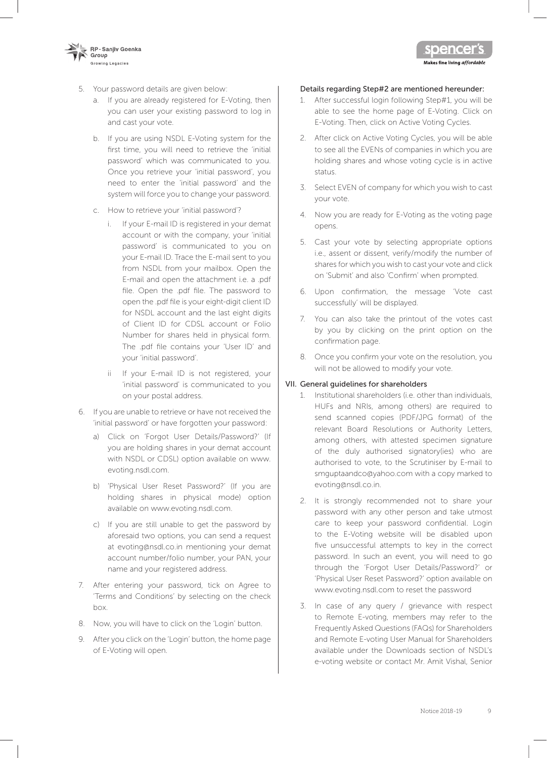

- 5. Your password details are given below:
	- a. If you are already registered for E-Voting, then you can user your existing password to log in and cast your vote.
	- b. If you are using NSDL E-Voting system for the first time, you will need to retrieve the 'initial password' which was communicated to you. Once you retrieve your 'initial password', you need to enter the 'initial password' and the system will force you to change your password.
	- c. How to retrieve your 'initial password'?
		- i. If your E-mail ID is registered in your demat account or with the company, your 'initial password' is communicated to you on your E-mail ID. Trace the E-mail sent to you from NSDL from your mailbox. Open the E-mail and open the attachment i.e. a .pdf file. Open the .pdf file. The password to open the .pdf file is your eight-digit client ID for NSDL account and the last eight digits of Client ID for CDSL account or Folio Number for shares held in physical form. The .pdf file contains your 'User ID' and your 'initial password'.
		- ii If your E-mail ID is not registered, your 'initial password' is communicated to you on your postal address.
- 6. If you are unable to retrieve or have not received the 'initial password' or have forgotten your password:
	- a) Click on 'Forgot User Details/Password?' (If you are holding shares in your demat account with NSDL or CDSL) option available on www. evoting.nsdl.com.
	- b) 'Physical User Reset Password?' (If you are holding shares in physical mode) option available on www.evoting.nsdl.com.
	- c) If you are still unable to get the password by aforesaid two options, you can send a request at evoting@nsdl.co.in mentioning your demat account number/folio number, your PAN, your name and your registered address.
- 7. After entering your password, tick on Agree to 'Terms and Conditions' by selecting on the check box.
- 8. Now, you will have to click on the 'Login' button.
- 9. After you click on the 'Login' button, the home page of E-Voting will open.

# Details regarding Step#2 are mentioned hereunder:

1. After successful login following Step#1, you will be able to see the home page of E-Voting. Click on E-Voting. Then, click on Active Voting Cycles.

Makes fine living *affordable* 

- 2. After click on Active Voting Cycles, you will be able to see all the EVENs of companies in which you are holding shares and whose voting cycle is in active status.
- 3. Select EVEN of company for which you wish to cast your vote.
- 4. Now you are ready for E-Voting as the voting page opens.
- 5. Cast your vote by selecting appropriate options i.e., assent or dissent, verify/modify the number of shares for which you wish to cast your vote and click on 'Submit' and also 'Confirm' when prompted.
- 6. Upon confirmation, the message 'Vote cast successfully' will be displayed.
- 7. You can also take the printout of the votes cast by you by clicking on the print option on the confirmation page.
- 8. Once you confirm your vote on the resolution, you will not be allowed to modify your vote.

# VII. General guidelines for shareholders

- 1. Institutional shareholders (i.e. other than individuals, HUFs and NRIs, among others) are required to send scanned copies (PDF/JPG format) of the relevant Board Resolutions or Authority Letters, among others, with attested specimen signature of the duly authorised signatory(ies) who are authorised to vote, to the Scrutiniser by E-mail to smguptaandco@yahoo.com with a copy marked to evoting@nsdl.co.in.
- 2. It is strongly recommended not to share your password with any other person and take utmost care to keep your password confidential. Login to the E-Voting website will be disabled upon five unsuccessful attempts to key in the correct password. In such an event, you will need to go through the 'Forgot User Details/Password?' or 'Physical User Reset Password?' option available on www.evoting.nsdl.com to reset the password
- 3. In case of any query / grievance with respect to Remote E-voting, members may refer to the Frequently Asked Questions (FAQs) for Shareholders and Remote E-voting User Manual for Shareholders available under the Downloads section of NSDL's e-voting website or contact Mr. Amit Vishal, Senior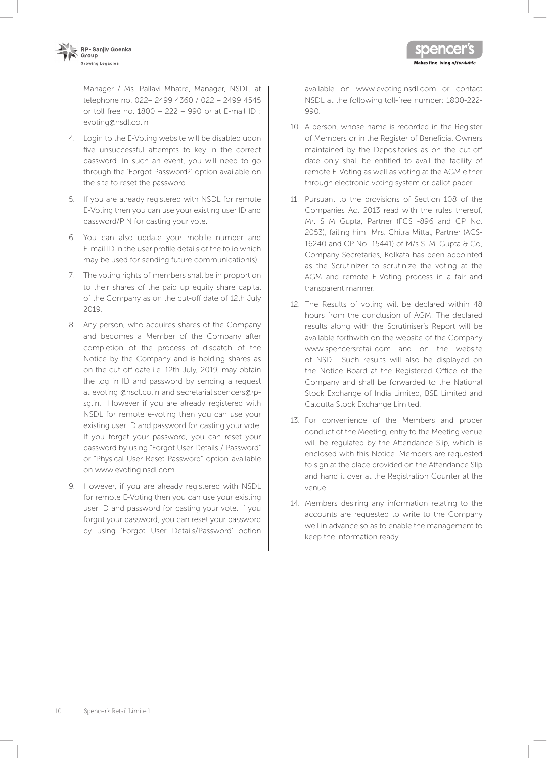

Manager / Ms. Pallavi Mhatre, Manager, NSDL, at telephone no. 022– 2499 4360 / 022 – 2499 4545 or toll free no. 1800 – 222 – 990 or at E-mail ID : evoting@nsdl.co.in

- 4. Login to the E-Voting website will be disabled upon five unsuccessful attempts to key in the correct password. In such an event, you will need to go through the 'Forgot Password?' option available on the site to reset the password.
- 5. If you are already registered with NSDL for remote E-Voting then you can use your existing user ID and password/PIN for casting your vote.
- 6. You can also update your mobile number and E-mail ID in the user profile details of the folio which may be used for sending future communication(s).
- 7. The voting rights of members shall be in proportion to their shares of the paid up equity share capital of the Company as on the cut-off date of 12th July 2019.
- 8. Any person, who acquires shares of the Company and becomes a Member of the Company after completion of the process of dispatch of the Notice by the Company and is holding shares as on the cut-off date i.e. 12th July, 2019, may obtain the log in ID and password by sending a request at evoting @nsdl.co.in and secretarial.spencers@rpsg.in. However if you are already registered with NSDL for remote e-voting then you can use your existing user ID and password for casting your vote. If you forget your password, you can reset your password by using "Forgot User Details / Password" or "Physical User Reset Password" option available on www.evoting.nsdl.com.
- 9. However, if you are already registered with NSDL for remote E-Voting then you can use your existing user ID and password for casting your vote. If you forgot your password, you can reset your password by using 'Forgot User Details/Password' option

available on www.evoting.nsdl.com or contact NSDL at the following toll-free number: 1800-222- 990.

Makes fine living *affordable* 

- 10. A person, whose name is recorded in the Register of Members or in the Register of Beneficial Owners maintained by the Depositories as on the cut-off date only shall be entitled to avail the facility of remote E-Voting as well as voting at the AGM either through electronic voting system or ballot paper.
- 11. Pursuant to the provisions of Section 108 of the Companies Act 2013 read with the rules thereof, Mr. S M Gupta, Partner (FCS -896 and CP No. 2053), failing him Mrs. Chitra Mittal, Partner (ACS-16240 and CP No- 15441) of M/s S. M. Gupta & Co, Company Secretaries, Kolkata has been appointed as the Scrutinizer to scrutinize the voting at the AGM and remote E-Voting process in a fair and transparent manner.
- 12. The Results of voting will be declared within 48 hours from the conclusion of AGM. The declared results along with the Scrutiniser's Report will be available forthwith on the website of the Company www.spencersretail.com and on the website of NSDL. Such results will also be displayed on the Notice Board at the Registered Office of the Company and shall be forwarded to the National Stock Exchange of India Limited, BSE Limited and Calcutta Stock Exchange Limited.
- 13. For convenience of the Members and proper conduct of the Meeting, entry to the Meeting venue will be regulated by the Attendance Slip, which is enclosed with this Notice. Members are requested to sign at the place provided on the Attendance Slip and hand it over at the Registration Counter at the venue.
- 14. Members desiring any information relating to the accounts are requested to write to the Company well in advance so as to enable the management to keep the information ready.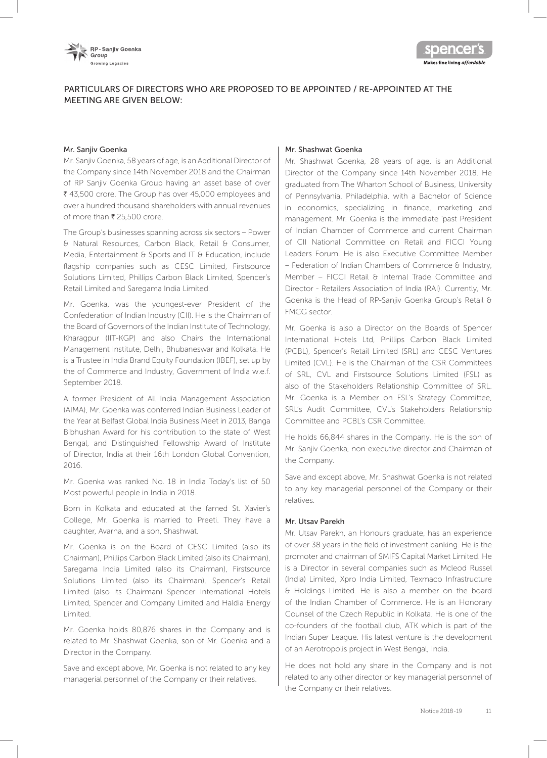

# PARTICULARS OF DIRECTORS WHO ARE PROPOSED TO BE APPOINTED / RE-APPOINTED AT THE MEETING ARE GIVEN BELOW:

#### Mr. Sanjiv Goenka

Mr. Sanjiv Goenka, 58 years of age, is an Additional Director of the Company since 14th November 2018 and the Chairman of RP Sanjiv Goenka Group having an asset base of over ₹ 43,500 crore. The Group has over 45,000 employees and over a hundred thousand shareholders with annual revenues of more than  $\bar{\bar{\xi}}$  25,500 crore.

The Group's businesses spanning across six sectors – Power & Natural Resources, Carbon Black, Retail & Consumer, Media, Entertainment & Sports and IT & Education, include flagship companies such as CESC Limited, Firstsource Solutions Limited, Phillips Carbon Black Limited, Spencer's Retail Limited and Saregama India Limited.

Mr. Goenka, was the youngest-ever President of the Confederation of Indian Industry (CII). He is the Chairman of the Board of Governors of the Indian Institute of Technology, Kharagpur (IIT-KGP) and also Chairs the International Management Institute, Delhi, Bhubaneswar and Kolkata. He is a Trustee in India Brand Equity Foundation (IBEF), set up by the of Commerce and Industry, Government of India w.e.f. September 2018.

A former President of All India Management Association (AIMA), Mr. Goenka was conferred Indian Business Leader of the Year at Belfast Global India Business Meet in 2013, Banga Bibhushan Award for his contribution to the state of West Bengal, and Distinguished Fellowship Award of Institute of Director, India at their 16th London Global Convention, 2016.

Mr. Goenka was ranked No. 18 in India Today's list of 50 Most powerful people in India in 2018.

Born in Kolkata and educated at the famed St. Xavier's College, Mr. Goenka is married to Preeti. They have a daughter, Avarna, and a son, Shashwat.

Mr. Goenka is on the Board of CESC Limited (also its Chairman), Phillips Carbon Black Limited (also its Chairman), Saregama India Limited (also its Chairman), Firstsource Solutions Limited (also its Chairman), Spencer's Retail Limited (also its Chairman) Spencer International Hotels Limited, Spencer and Company Limited and Haldia Energy Limited.

Mr. Goenka holds 80,876 shares in the Company and is related to Mr. Shashwat Goenka, son of Mr. Goenka and a Director in the Company.

Save and except above, Mr. Goenka is not related to any key managerial personnel of the Company or their relatives.

#### Mr. Shashwat Goenka

Mr. Shashwat Goenka, 28 years of age, is an Additional Director of the Company since 14th November 2018. He graduated from The Wharton School of Business, University of Pennsylvania, Philadelphia, with a Bachelor of Science in economics, specializing in finance, marketing and management. Mr. Goenka is the immediate 'past President of Indian Chamber of Commerce and current Chairman of CII National Committee on Retail and FICCI Young Leaders Forum. He is also Executive Committee Member – Federation of Indian Chambers of Commerce & Industry, Member - FICCI Retail & Internal Trade Committee and Director - Retailers Association of India (RAI). Currently, Mr. Goenka is the Head of RP-Sanjiv Goenka Group's Retail & FMCG sector.

Mr. Goenka is also a Director on the Boards of Spencer International Hotels Ltd, Phillips Carbon Black Limited (PCBL), Spencer's Retail Limited (SRL) and CESC Ventures Limited (CVL). He is the Chairman of the CSR Committees of SRL, CVL and Firstsource Solutions Limited (FSL) as also of the Stakeholders Relationship Committee of SRL. Mr. Goenka is a Member on FSL's Strategy Committee, SRL's Audit Committee, CVL's Stakeholders Relationship Committee and PCBL's CSR Committee.

He holds 66,844 shares in the Company. He is the son of Mr. Sanjiv Goenka, non-executive director and Chairman of the Company.

Save and except above, Mr. Shashwat Goenka is not related to any key managerial personnel of the Company or their relatives.

## Mr. Utsav Parekh

Mr. Utsav Parekh, an Honours graduate, has an experience of over 38 years in the field of investment banking. He is the promoter and chairman of SMIFS Capital Market Limited. He is a Director in several companies such as Mcleod Russel (India) Limited, Xpro India Limited, Texmaco Infrastructure & Holdings Limited. He is also a member on the board of the Indian Chamber of Commerce. He is an Honorary Counsel of the Czech Republic in Kolkata. He is one of the co-founders of the football club, ATK which is part of the Indian Super League. His latest venture is the development of an Aerotropolis project in West Bengal, India.

He does not hold any share in the Company and is not related to any other director or key managerial personnel of the Company or their relatives.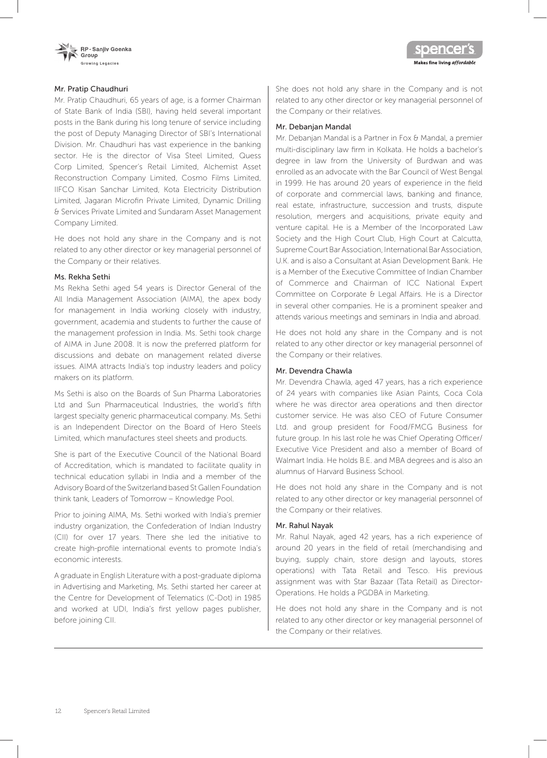



#### Mr. Pratip Chaudhuri

Mr. Pratip Chaudhuri, 65 years of age, is a former Chairman of State Bank of India (SBI), having held several important posts in the Bank during his long tenure of service including the post of Deputy Managing Director of SBI's International Division. Mr. Chaudhuri has vast experience in the banking sector. He is the director of Visa Steel Limited, Quess Corp Limited, Spencer's Retail Limited, Alchemist Asset Reconstruction Company Limited, Cosmo Films Limited, IIFCO Kisan Sanchar Limited, Kota Electricity Distribution Limited, Jagaran Microfin Private Limited, Dynamic Drilling & Services Private Limited and Sundaram Asset Management Company Limited.

He does not hold any share in the Company and is not related to any other director or key managerial personnel of the Company or their relatives.

#### Ms. Rekha Sethi

Ms Rekha Sethi aged 54 years is Director General of the All India Management Association (AIMA), the apex body for management in India working closely with industry, government, academia and students to further the cause of the management profession in India. Ms. Sethi took charge of AIMA in June 2008. It is now the preferred platform for discussions and debate on management related diverse issues. AIMA attracts India's top industry leaders and policy makers on its platform.

Ms Sethi is also on the Boards of Sun Pharma Laboratories Ltd and Sun Pharmaceutical Industries, the world's fifth largest specialty generic pharmaceutical company. Ms. Sethi is an Independent Director on the Board of Hero Steels Limited, which manufactures steel sheets and products.

She is part of the Executive Council of the National Board of Accreditation, which is mandated to facilitate quality in technical education syllabi in India and a member of the Advisory Board of the Switzerland based St Gallen Foundation think tank, Leaders of Tomorrow – Knowledge Pool.

Prior to joining AIMA, Ms. Sethi worked with India's premier industry organization, the Confederation of Indian Industry (CII) for over 17 years. There she led the initiative to create high-profile international events to promote India's economic interests.

A graduate in English Literature with a post-graduate diploma in Advertising and Marketing, Ms. Sethi started her career at the Centre for Development of Telematics (C-Dot) in 1985 and worked at UDI, India's first yellow pages publisher, before joining CII.

She does not hold any share in the Company and is not related to any other director or key managerial personnel of the Company or their relatives.

#### Mr. Debanjan Mandal

Mr. Debanjan Mandal is a Partner in Fox & Mandal, a premier multi-disciplinary law firm in Kolkata. He holds a bachelor's degree in law from the University of Burdwan and was enrolled as an advocate with the Bar Council of West Bengal in 1999. He has around 20 years of experience in the field of corporate and commercial laws, banking and finance, real estate, infrastructure, succession and trusts, dispute resolution, mergers and acquisitions, private equity and venture capital. He is a Member of the Incorporated Law Society and the High Court Club, High Court at Calcutta, Supreme Court Bar Association, International Bar Association, U.K. and is also a Consultant at Asian Development Bank. He is a Member of the Executive Committee of Indian Chamber of Commerce and Chairman of ICC National Expert Committee on Corporate & Legal Affairs. He is a Director in several other companies. He is a prominent speaker and attends various meetings and seminars in India and abroad.

He does not hold any share in the Company and is not related to any other director or key managerial personnel of the Company or their relatives.

#### Mr. Devendra Chawla

Mr. Devendra Chawla, aged 47 years, has a rich experience of 24 years with companies like Asian Paints, Coca Cola where he was director area operations and then director customer service. He was also CEO of Future Consumer Ltd. and group president for Food/FMCG Business for future group. In his last role he was Chief Operating Officer/ Executive Vice President and also a member of Board of Walmart India. He holds B.E. and MBA degrees and is also an alumnus of Harvard Business School.

He does not hold any share in the Company and is not related to any other director or key managerial personnel of the Company or their relatives.

#### Mr. Rahul Nayak

Mr. Rahul Nayak, aged 42 years, has a rich experience of around 20 years in the field of retail (merchandising and buying, supply chain, store design and layouts, stores operations) with Tata Retail and Tesco. His previous assignment was with Star Bazaar (Tata Retail) as Director-Operations. He holds a PGDBA in Marketing.

He does not hold any share in the Company and is not related to any other director or key managerial personnel of the Company or their relatives.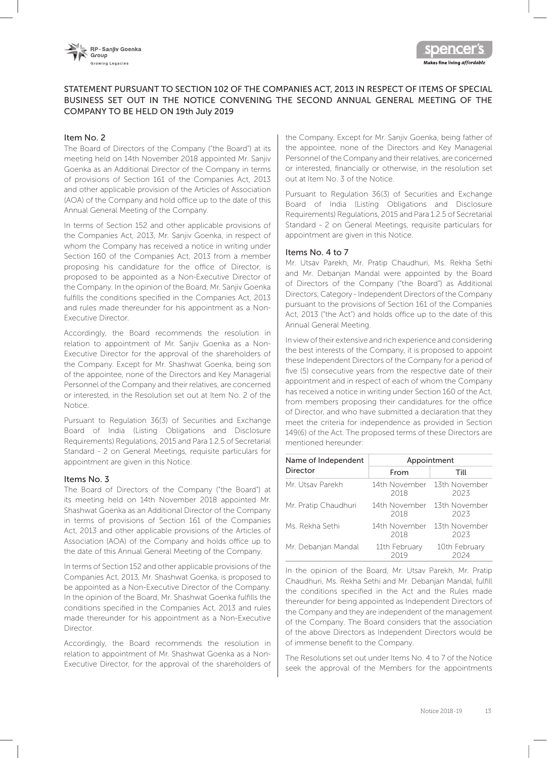



# STATEMENT PURSUANT TO SECTION 102 OF THE COMPANIES ACT, 2013 IN RESPECT OF ITEMS OF SPECIAL BUSINESS SET OUT IN THE NOTICE CONVENING THE SECOND ANNUAL GENERAL MEETING OF THE COMPANY TO BE HELD ON 19th July 2019

#### Item No. 2

The Board of Directors of the Company ("the Board") at its meeting held on 14th November 2018 appointed Mr. Sanjiv Goenka as an Additional Director of the Company in terms of provisions of Section 161 of the Companies Act, 2013 and other applicable provision of the Articles of Association (AOA) of the Company and hold office up to the date of this Annual General Meeting of the Company.

In terms of Section 152 and other applicable provisions of the Companies Act, 2013, Mr. Sanjiv Goenka, in respect of whom the Company has received a notice in writing under Section 160 of the Companies Act, 2013 from a member proposing his candidature for the office of Director, is proposed to be appointed as a Non-Executive Director of the Company. In the opinion of the Board, Mr. Sanjiv Goenka fulfills the conditions specified in the Companies Act, 2013 and rules made thereunder for his appointment as a Non-Executive Director.

Accordingly, the Board recommends the resolution in relation to appointment of Mr. Sanjiv Goenka as a Non-Executive Director for the approval of the shareholders of the Company. Except for Mr. Shashwat Goenka, being son of the appointee, none of the Directors and Key Managerial Personnel of the Company and their relatives, are concerned or interested, in the Resolution set out at Item No. 2 of the Notice.

Pursuant to Regulation 36(3) of Securities and Exchange Board of India (Listing Obligations and Disclosure Requirements) Regulations, 2015 and Para 1.2.5 of Secretarial Standard - 2 on General Meetings, requisite particulars for appointment are given in this Notice.

#### Items No. 3

The Board of Directors of the Company ("the Board") at its meeting held on 14th November 2018 appointed Mr. Shashwat Goenka as an Additional Director of the Company in terms of provisions of Section 161 of the Companies Act, 2013 and other applicable provisions of the Articles of Association (AOA) of the Company and holds office up to the date of this Annual General Meeting of the Company.

In terms of Section 152 and other applicable provisions of the Companies Act, 2013, Mr. Shashwat Goenka, is proposed to be appointed as a Non-Executive Director of the Company. In the opinion of the Board, Mr. Shashwat Goenka fulfills the conditions specified in the Companies Act, 2013 and rules made thereunder for his appointment as a Non-Executive Director.

Accordingly, the Board recommends the resolution in relation to appointment of Mr. Shashwat Goenka as a Non-Executive Director, for the approval of the shareholders of

the Company. Except for Mr. Sanjiv Goenka, being father of the appointee, none of the Directors and Key Managerial Personnel of the Company and their relatives, are concerned or interested, financially or otherwise, in the resolution set out at Item No. 3 of the Notice.

Pursuant to Regulation 36(3) of Securities and Exchange Board of India (Listing Obligations and Disclosure Requirements) Regulations, 2015 and Para 1.2.5 of Secretarial Standard - 2 on General Meetings, requisite particulars for appointment are given in this Notice.

#### Items No. 4 to 7

Mr. Utsav Parekh, Mr. Pratip Chaudhuri, Ms. Rekha Sethi and Mr. Debanjan Mandal were appointed by the Board of Directors of the Company ("the Board") as Additional Directors, Category - Independent Directors of the Company pursuant to the provisions of Section 161 of the Companies Act, 2013 ("the Act") and holds office up to the date of this Annual General Meeting.

In view of their extensive and rich experience and considering the best interests of the Company, it is proposed to appoint these Independent Directors of the Company for a period of five (5) consecutive years from the respective date of their appointment and in respect of each of whom the Company has received a notice in writing under Section 160 of the Act, from members proposing their candidatures for the office of Director, and who have submitted a declaration that they meet the criteria for independence as provided in Section 149(6) of the Act. The proposed terms of these Directors are mentioned hereunder:

| Name of Independent  | Appointment           |                       |  |
|----------------------|-----------------------|-----------------------|--|
| Director             | From                  | Till                  |  |
| Mr. Utsav Parekh     | 14th November<br>2018 | 13th November<br>2023 |  |
| Mr. Pratip Chaudhuri | 14th November<br>2018 | 13th November<br>2023 |  |
| Ms. Rekha Sethi      | 14th November<br>2018 | 13th November<br>2023 |  |
| Mr. Debanjan Mandal  | 11th February<br>2019 | 10th February<br>2024 |  |

In the opinion of the Board, Mr. Utsav Parekh, Mr. Pratip Chaudhuri, Ms. Rekha Sethi and Mr. Debanjan Mandal, fulfill the conditions specified in the Act and the Rules made thereunder for being appointed as Independent Directors of the Company and they are independent of the management of the Company. The Board considers that the association of the above Directors as Independent Directors would be of immense benefit to the Company.

The Resolutions set out under Items No. 4 to 7 of the Notice seek the approval of the Members for the appointments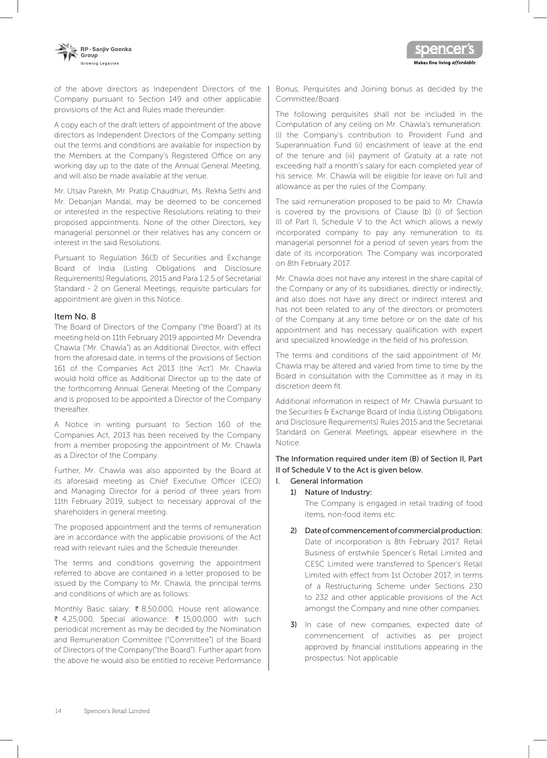of the above directors as Independent Directors of the Company pursuant to Section 149 and other applicable provisions of the Act and Rules made thereunder.

A copy each of the draft letters of appointment of the above directors as Independent Directors of the Company setting out the terms and conditions are available for inspection by the Members at the Company's Registered Office on any working day up to the date of the Annual General Meeting, and will also be made available at the venue.

Mr. Utsav Parekh, Mr. Pratip Chaudhuri, Ms. Rekha Sethi and Mr. Debanjan Mandal, may be deemed to be concerned or interested in the respective Resolutions relating to their proposed appointments. None of the other Directors, key managerial personnel or their relatives has any concern or interest in the said Resolutions.

Pursuant to Regulation 36(3) of Securities and Exchange Board of India (Listing Obligations and Disclosure Requirements) Regulations, 2015 and Para 1.2.5 of Secretarial Standard - 2 on General Meetings, requisite particulars for appointment are given in this Notice.

#### Item No. 8

The Board of Directors of the Company ("the Board") at its meeting held on 11th February 2019 appointed Mr. Devendra Chawla ("Mr. Chawla") as an Additional Director, with effect from the aforesaid date, in terms of the provisions of Section 161 of the Companies Act 2013 (the 'Act'). Mr. Chawla would hold office as Additional Director up to the date of the forthcoming Annual General Meeting of the Company and is proposed to be appointed a Director of the Company thereafter.

A Notice in writing pursuant to Section 160 of the Companies Act, 2013 has been received by the Company from a member proposing the appointment of Mr. Chawla as a Director of the Company.

Further, Mr. Chawla was also appointed by the Board at its aforesaid meeting as Chief Executive Officer (CEO) and Managing Director for a period of three years from 11th February 2019, subject to necessary approval of the shareholders in general meeting.

The proposed appointment and the terms of remuneration are in accordance with the applicable provisions of the Act read with relevant rules and the Schedule thereunder.

The terms and conditions governing the appointment referred to above are contained in a letter proposed to be issued by the Company to Mr. Chawla, the principal terms and conditions of which are as follows:

Monthly Basic salary: ₹ 8,50,000, House rent allowance: ₹ 4,25,000, Special allowance: ₹ 15,00,000 with such periodical increment as may be decided by the Nomination and Remuneration Committee ("Committee") of the Board of Directors of the Company("the Board"). Further apart from the above he would also be entitled to receive Performance

Bonus, Perquisites and Joining bonus as decided by the Committee/Board.

Makes fine living *affordable* 

The following perquisites shall not be included in the Computation of any ceiling on Mr. Chawla's remuneration: (i) the Company's contribution to Provident Fund and Superannuation Fund (ii) encashment of leave at the end of the tenure and (iii) payment of Gratuity at a rate not exceeding half a month's salary for each completed year of his service. Mr. Chawla will be eligible for leave on full and allowance as per the rules of the Company.

The said remuneration proposed to be paid to Mr. Chawla is covered by the provisions of Clause (b) (i) of Section III of Part II, Schedule V to the Act which allows a newly incorporated company to pay any remuneration to its managerial personnel for a period of seven years from the date of its incorporation. The Company was incorporated on 8th February 2017.

Mr. Chawla does not have any interest in the share capital of the Company or any of its subsidiaries, directly or indirectly, and also does not have any direct or indirect interest and has not been related to any of the directors or promoters of the Company at any time before or on the date of his appointment and has necessary qualification with expert and specialized knowledge in the field of his profession.

The terms and conditions of the said appointment of Mr. Chawla may be altered and varied from time to time by the Board in consultation with the Committee as it may in its discretion deem fit.

Additional information in respect of Mr. Chawla pursuant to the Securities & Exchange Board of India (Listing Obligations and Disclosure Requirements) Rules 2015 and the Secretarial Standard on General Meetings, appear elsewhere in the Notice.

The Information required under item (B) of Section II, Part II of Schedule V to the Act is given below.

#### I. General Information

#### 1) Nature of Industry:

The Company is engaged in retail trading of food items, non-food items etc.

- 2) Date of commencement of commercial production: Date of incorporation is 8th February 2017. Retail Business of erstwhile Spencer's Retail Limited and CESC Limited were transferred to Spencer's Retail Limited with effect from 1st October 2017, in terms of a Restructuring Scheme under Sections 230 to 232 and other applicable provisions of the Act amongst the Company and nine other companies.
- 3) In case of new companies, expected date of commencement of activities as per project approved by financial institutions appearing in the prospectus: Not applicable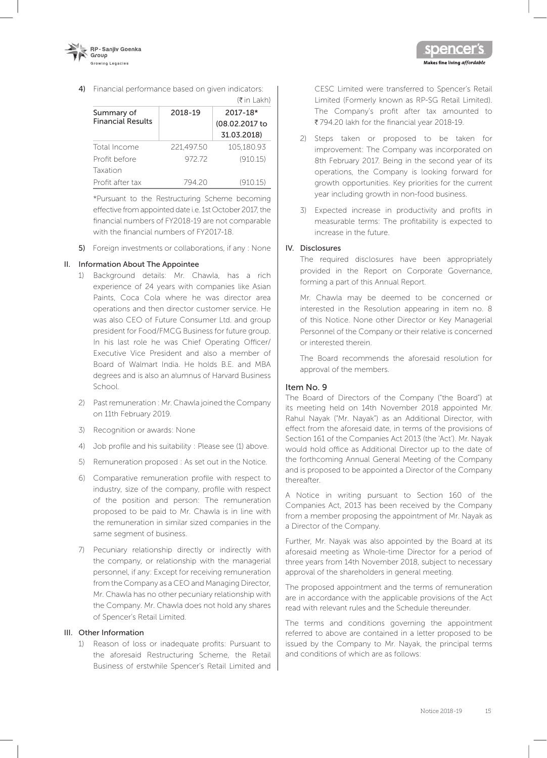

4) Financial performance based on given indicators:

|                                        |            | (₹ in Lakh)                               |
|----------------------------------------|------------|-------------------------------------------|
| Summary of<br><b>Financial Results</b> | 2018-19    | 2017-18*<br>(08.02.2017 to<br>31.03.2018) |
| Total Income                           | 221.497.50 | 105,180.93                                |
| Profit before                          | 97272      | (910.15)                                  |
| Taxation                               |            |                                           |
| Profit after tax                       | 794 20     | (910.15)                                  |

\*Pursuant to the Restructuring Scheme becoming effective from appointed date i.e. 1st October 2017, the financial numbers of FY2018-19 are not comparable with the financial numbers of FY2017-18.

5) Foreign investments or collaborations, if any : None

# II. Information About The Appointee

- 1) Background details: Mr. Chawla, has a rich experience of 24 years with companies like Asian Paints, Coca Cola where he was director area operations and then director customer service. He was also CEO of Future Consumer Ltd. and group president for Food/FMCG Business for future group. In his last role he was Chief Operating Officer/ Executive Vice President and also a member of Board of Walmart India. He holds B.E. and MBA degrees and is also an alumnus of Harvard Business School.
- 2) Past remuneration : Mr. Chawla joined the Company on 11th February 2019.
- 3) Recognition or awards: None
- 4) Job profile and his suitability : Please see (1) above.
- 5) Remuneration proposed : As set out in the Notice.
- 6) Comparative remuneration profile with respect to industry, size of the company, profile with respect of the position and person: The remuneration proposed to be paid to Mr. Chawla is in line with the remuneration in similar sized companies in the same segment of business.
- 7) Pecuniary relationship directly or indirectly with the company, or relationship with the managerial personnel, if any: Except for receiving remuneration from the Company as a CEO and Managing Director, Mr. Chawla has no other pecuniary relationship with the Company. Mr. Chawla does not hold any shares of Spencer's Retail Limited.

#### III. Other Information

1) Reason of loss or inadequate profits: Pursuant to the aforesaid Restructuring Scheme, the Retail Business of erstwhile Spencer's Retail Limited and

CESC Limited were transferred to Spencer's Retail Limited (Formerly known as RP-SG Retail Limited). The Company's profit after tax amounted to ₹794.20 lakh for the financial year 2018-19.

Makes fine living affordable

- 2) Steps taken or proposed to be taken for improvement: The Company was incorporated on 8th February 2017. Being in the second year of its operations, the Company is looking forward for growth opportunities. Key priorities for the current year including growth in non-food business.
- 3) Expected increase in productivity and profits in measurable terms: The profitability is expected to increase in the future.

#### IV. Disclosures

The required disclosures have been appropriately provided in the Report on Corporate Governance, forming a part of this Annual Report.

Mr. Chawla may be deemed to be concerned or interested in the Resolution appearing in item no. 8 of this Notice. None other Director or Key Managerial Personnel of the Company or their relative is concerned or interested therein.

The Board recommends the aforesaid resolution for approval of the members.

# Item No. 9

The Board of Directors of the Company ("the Board") at its meeting held on 14th November 2018 appointed Mr. Rahul Nayak ("Mr. Nayak") as an Additional Director, with effect from the aforesaid date, in terms of the provisions of Section 161 of the Companies Act 2013 (the 'Act'). Mr. Nayak would hold office as Additional Director up to the date of the forthcoming Annual General Meeting of the Company and is proposed to be appointed a Director of the Company thereafter.

A Notice in writing pursuant to Section 160 of the Companies Act, 2013 has been received by the Company from a member proposing the appointment of Mr. Nayak as a Director of the Company.

Further, Mr. Nayak was also appointed by the Board at its aforesaid meeting as Whole-time Director for a period of three years from 14th November 2018, subject to necessary approval of the shareholders in general meeting.

The proposed appointment and the terms of remuneration are in accordance with the applicable provisions of the Act read with relevant rules and the Schedule thereunder.

The terms and conditions governing the appointment referred to above are contained in a letter proposed to be issued by the Company to Mr. Nayak, the principal terms and conditions of which are as follows: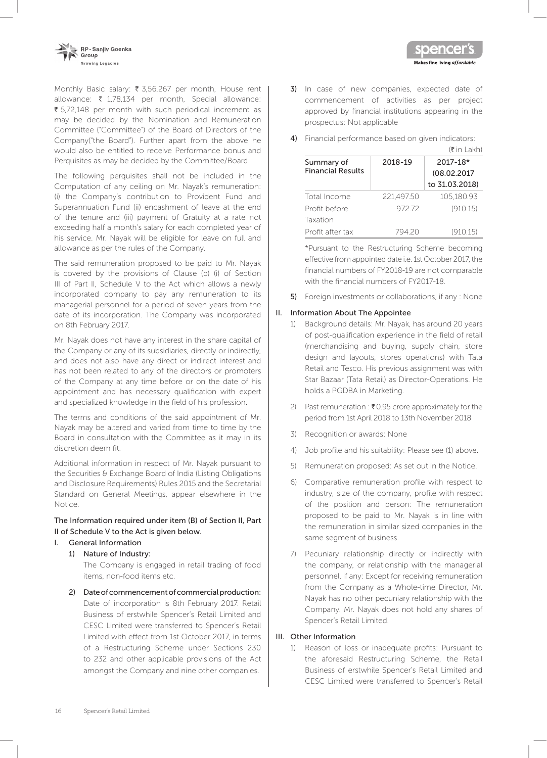

Monthly Basic salary: ₹ 3,56,267 per month, House rent allowance:  $\bar{\tau}$  1,78,134 per month, Special allowance:  $\bar{\xi}$  5,72,148 per month with such periodical increment as may be decided by the Nomination and Remuneration Committee ("Committee") of the Board of Directors of the Company("the Board"). Further apart from the above he would also be entitled to receive Performance bonus and Perquisites as may be decided by the Committee/Board.

The following perquisites shall not be included in the Computation of any ceiling on Mr. Nayak's remuneration: (i) the Company's contribution to Provident Fund and Superannuation Fund (ii) encashment of leave at the end of the tenure and (iii) payment of Gratuity at a rate not exceeding half a month's salary for each completed year of his service. Mr. Nayak will be eligible for leave on full and allowance as per the rules of the Company.

The said remuneration proposed to be paid to Mr. Nayak is covered by the provisions of Clause (b) (i) of Section III of Part II, Schedule V to the Act which allows a newly incorporated company to pay any remuneration to its managerial personnel for a period of seven years from the date of its incorporation. The Company was incorporated on 8th February 2017.

Mr. Nayak does not have any interest in the share capital of the Company or any of its subsidiaries, directly or indirectly, and does not also have any direct or indirect interest and has not been related to any of the directors or promoters of the Company at any time before or on the date of his appointment and has necessary qualification with expert and specialized knowledge in the field of his profession.

The terms and conditions of the said appointment of Mr. Nayak may be altered and varied from time to time by the Board in consultation with the Committee as it may in its discretion deem fit.

Additional information in respect of Mr. Nayak pursuant to the Securities & Exchange Board of India (Listing Obligations and Disclosure Requirements) Rules 2015 and the Secretarial Standard on General Meetings, appear elsewhere in the Notice.

# The Information required under item (B) of Section II, Part II of Schedule V to the Act is given below.

#### I. General Information

1) Nature of Industry:

The Company is engaged in retail trading of food items, non-food items etc.

2) Date of commencement of commercial production: Date of incorporation is 8th February 2017. Retail Business of erstwhile Spencer's Retail Limited and CESC Limited were transferred to Spencer's Retail Limited with effect from 1st October 2017, in terms of a Restructuring Scheme under Sections 230 to 232 and other applicable provisions of the Act amongst the Company and nine other companies.

3) In case of new companies, expected date of commencement of activities as per project approved by financial institutions appearing in the prospectus: Not applicable

Makes fine living *affordable* 

4) Financial performance based on given indicators:

|                                        |            | $(\bar{\bar{\mathbf{x}}}$ in Lakh)        |
|----------------------------------------|------------|-------------------------------------------|
| Summary of<br><b>Financial Results</b> | 2018-19    | 2017-18*<br>(08.02.2017<br>to 31.03.2018) |
| Total Income                           | 221,497.50 | 105.180.93                                |
| Profit before                          | 97272      | (910.15)                                  |
| Taxation                               |            |                                           |
| Profit after tax                       | 794 20     | (910.15)                                  |

\*Pursuant to the Restructuring Scheme becoming effective from appointed date i.e. 1st October 2017, the financial numbers of FY2018-19 are not comparable with the financial numbers of FY2017-18.

5) Foreign investments or collaborations, if any : None

#### II. Information About The Appointee

- 1) Background details: Mr. Nayak, has around 20 years of post-qualification experience in the field of retail (merchandising and buying, supply chain, store design and layouts, stores operations) with Tata Retail and Tesco. His previous assignment was with Star Bazaar (Tata Retail) as Director-Operations. He holds a PGDBA in Marketing.
- 2) Past remuneration :  $\bar{\bar{\tau}}$  0.95 crore approximately for the period from 1st April 2018 to 13th November 2018
- 3) Recognition or awards: None
- 4) Job profile and his suitability: Please see (1) above.
- 5) Remuneration proposed: As set out in the Notice.
- 6) Comparative remuneration profile with respect to industry, size of the company, profile with respect of the position and person: The remuneration proposed to be paid to Mr. Nayak is in line with the remuneration in similar sized companies in the same segment of business.
- 7) Pecuniary relationship directly or indirectly with the company, or relationship with the managerial personnel, if any: Except for receiving remuneration from the Company as a Whole-time Director, Mr. Nayak has no other pecuniary relationship with the Company. Mr. Nayak does not hold any shares of Spencer's Retail Limited.

#### III. Other Information

1) Reason of loss or inadequate profits: Pursuant to the aforesaid Restructuring Scheme, the Retail Business of erstwhile Spencer's Retail Limited and CESC Limited were transferred to Spencer's Retail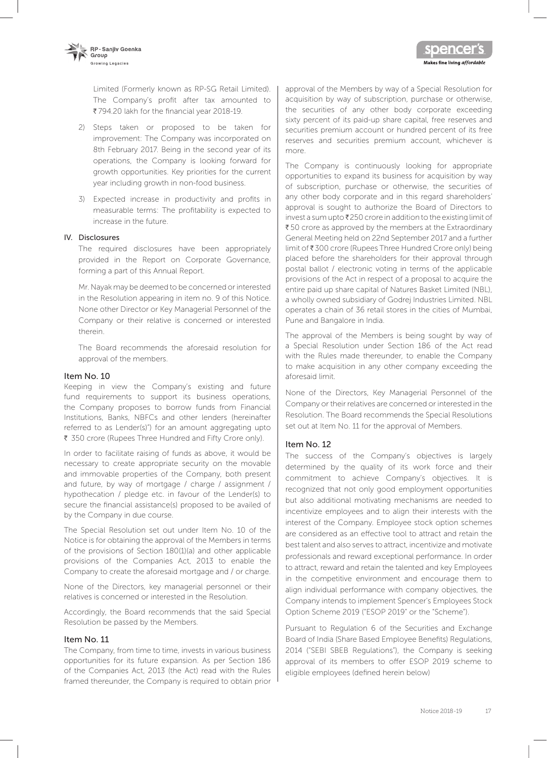

Limited (Formerly known as RP-SG Retail Limited). The Company's profit after tax amounted to ₹794.20 lakh for the financial year 2018-19.

- 2) Steps taken or proposed to be taken for improvement: The Company was incorporated on 8th February 2017. Being in the second year of its operations, the Company is looking forward for growth opportunities. Key priorities for the current year including growth in non-food business.
- 3) Expected increase in productivity and profits in measurable terms: The profitability is expected to increase in the future.

#### IV. Disclosures

The required disclosures have been appropriately provided in the Report on Corporate Governance, forming a part of this Annual Report.

Mr. Nayak may be deemed to be concerned or interested in the Resolution appearing in item no. 9 of this Notice. None other Director or Key Managerial Personnel of the Company or their relative is concerned or interested therein.

The Board recommends the aforesaid resolution for approval of the members.

#### Item No. 10

Keeping in view the Company's existing and future fund requirements to support its business operations, the Company proposes to borrow funds from Financial Institutions, Banks, NBFCs and other lenders (hereinafter referred to as Lender(s)") for an amount aggregating upto ₹ 350 crore (Rupees Three Hundred and Fifty Crore only).

In order to facilitate raising of funds as above, it would be necessary to create appropriate security on the movable and immovable properties of the Company, both present and future, by way of mortgage / charge / assignment / hypothecation / pledge etc. in favour of the Lender(s) to secure the financial assistance(s) proposed to be availed of by the Company in due course.

The Special Resolution set out under Item No. 10 of the Notice is for obtaining the approval of the Members in terms of the provisions of Section 180(1)(a) and other applicable provisions of the Companies Act, 2013 to enable the Company to create the aforesaid mortgage and / or charge.

None of the Directors, key managerial personnel or their relatives is concerned or interested in the Resolution.

Accordingly, the Board recommends that the said Special Resolution be passed by the Members.

#### Item No. 11

The Company, from time to time, invests in various business opportunities for its future expansion. As per Section 186 of the Companies Act, 2013 (the Act) read with the Rules framed thereunder, the Company is required to obtain prior approval of the Members by way of a Special Resolution for acquisition by way of subscription, purchase or otherwise, the securities of any other body corporate exceeding sixty percent of its paid-up share capital, free reserves and securities premium account or hundred percent of its free reserves and securities premium account, whichever is more.

Makes fine living *affordable* 

The Company is continuously looking for appropriate opportunities to expand its business for acquisition by way of subscription, purchase or otherwise, the securities of any other body corporate and in this regard shareholders' approval is sought to authorize the Board of Directors to invest a sum upto  $\bar{\mathfrak{e}}$  250 crore in addition to the existing limit of  $\overline{\xi}$  50 crore as approved by the members at the Extraordinary General Meeting held on 22nd September 2017 and a further limit of ₹300 crore (Rupees Three Hundred Crore only) being placed before the shareholders for their approval through postal ballot / electronic voting in terms of the applicable provisions of the Act in respect of a proposal to acquire the entire paid up share capital of Natures Basket Limited (NBL), a wholly owned subsidiary of Godrej Industries Limited. NBL operates a chain of 36 retail stores in the cities of Mumbai, Pune and Bangalore in India.

The approval of the Members is being sought by way of a Special Resolution under Section 186 of the Act read with the Rules made thereunder, to enable the Company to make acquisition in any other company exceeding the aforesaid limit.

None of the Directors, Key Managerial Personnel of the Company or their relatives are concerned or interested in the Resolution. The Board recommends the Special Resolutions set out at Item No. 11 for the approval of Members.

#### Item No. 12

The success of the Company's objectives is largely determined by the quality of its work force and their commitment to achieve Company's objectives. It is recognized that not only good employment opportunities but also additional motivating mechanisms are needed to incentivize employees and to align their interests with the interest of the Company. Employee stock option schemes are considered as an effective tool to attract and retain the best talent and also serves to attract, incentivize and motivate professionals and reward exceptional performance. In order to attract, reward and retain the talented and key Employees in the competitive environment and encourage them to align individual performance with company objectives, the Company intends to implement Spencer's Employees Stock Option Scheme 2019 ("ESOP 2019" or the "Scheme").

Pursuant to Regulation 6 of the Securities and Exchange Board of India (Share Based Employee Benefits) Regulations, 2014 ("SEBI SBEB Regulations"), the Company is seeking approval of its members to offer ESOP 2019 scheme to eligible employees (defined herein below)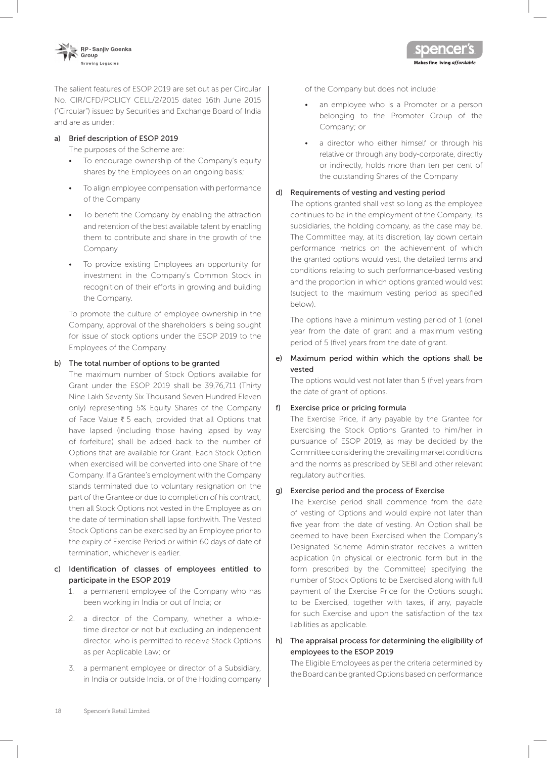

The salient features of ESOP 2019 are set out as per Circular No. CIR/CFD/POLICY CELL/2/2015 dated 16th June 2015 ("Circular") issued by Securities and Exchange Board of India and are as under:

# a) Brief description of ESOP 2019

The purposes of the Scheme are:

- To encourage ownership of the Company's equity shares by the Employees on an ongoing basis;
- To align employee compensation with performance of the Company
- To benefit the Company by enabling the attraction and retention of the best available talent by enabling them to contribute and share in the growth of the Company
- To provide existing Employees an opportunity for investment in the Company's Common Stock in recognition of their efforts in growing and building the Company.

To promote the culture of employee ownership in the Company, approval of the shareholders is being sought for issue of stock options under the ESOP 2019 to the Employees of the Company.

#### b) The total number of options to be granted

The maximum number of Stock Options available for Grant under the ESOP 2019 shall be 39,76,711 (Thirty Nine Lakh Seventy Six Thousand Seven Hundred Eleven only) representing 5% Equity Shares of the Company of Face Value  $\overline{\tau}$  5 each, provided that all Options that have lapsed (including those having lapsed by way of forfeiture) shall be added back to the number of Options that are available for Grant. Each Stock Option when exercised will be converted into one Share of the Company. If a Grantee's employment with the Company stands terminated due to voluntary resignation on the part of the Grantee or due to completion of his contract, then all Stock Options not vested in the Employee as on the date of termination shall lapse forthwith. The Vested Stock Options can be exercised by an Employee prior to the expiry of Exercise Period or within 60 days of date of termination, whichever is earlier.

### c) Identification of classes of employees entitled to participate in the ESOP 2019

- 1. a permanent employee of the Company who has been working in India or out of India; or
- 2. a director of the Company, whether a wholetime director or not but excluding an independent director, who is permitted to receive Stock Options as per Applicable Law; or
- 3. a permanent employee or director of a Subsidiary, in India or outside India, or of the Holding company

of the Company but does not include:

an employee who is a Promoter or a person belonging to the Promoter Group of the Company; or

Makes fine living affordable

a director who either himself or through his relative or through any body-corporate, directly or indirectly, holds more than ten per cent of the outstanding Shares of the Company

#### d) Requirements of vesting and vesting period

The options granted shall vest so long as the employee continues to be in the employment of the Company, its subsidiaries, the holding company, as the case may be. The Committee may, at its discretion, lay down certain performance metrics on the achievement of which the granted options would vest, the detailed terms and conditions relating to such performance-based vesting and the proportion in which options granted would vest (subject to the maximum vesting period as specified below).

The options have a minimum vesting period of 1 (one) year from the date of grant and a maximum vesting period of 5 (five) years from the date of grant.

# e) Maximum period within which the options shall be vested

The options would vest not later than 5 (five) years from the date of grant of options.

#### f) Exercise price or pricing formula

The Exercise Price, if any payable by the Grantee for Exercising the Stock Options Granted to him/her in pursuance of ESOP 2019, as may be decided by the Committee considering the prevailing market conditions and the norms as prescribed by SEBI and other relevant regulatory authorities.

### g) Exercise period and the process of Exercise

The Exercise period shall commence from the date of vesting of Options and would expire not later than five year from the date of vesting. An Option shall be deemed to have been Exercised when the Company's Designated Scheme Administrator receives a written application (in physical or electronic form but in the form prescribed by the Committee) specifying the number of Stock Options to be Exercised along with full payment of the Exercise Price for the Options sought to be Exercised, together with taxes, if any, payable for such Exercise and upon the satisfaction of the tax liabilities as applicable.

#### h) The appraisal process for determining the eligibility of employees to the ESOP 2019

The Eligible Employees as per the criteria determined by the Board can be granted Options based on performance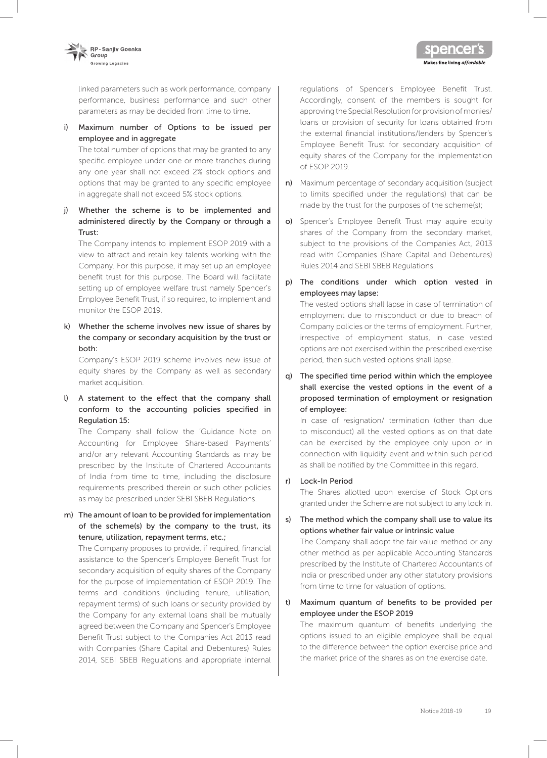

linked parameters such as work performance, company performance, business performance and such other parameters as may be decided from time to time.

i) Maximum number of Options to be issued per employee and in aggregate

The total number of options that may be granted to any specific employee under one or more tranches during any one year shall not exceed 2% stock options and options that may be granted to any specific employee in aggregate shall not exceed 5% stock options.

j) Whether the scheme is to be implemented and administered directly by the Company or through a Trust:

The Company intends to implement ESOP 2019 with a view to attract and retain key talents working with the Company. For this purpose, it may set up an employee benefit trust for this purpose. The Board will facilitate setting up of employee welfare trust namely Spencer's Employee Benefit Trust, if so required, to implement and monitor the ESOP 2019.

k) Whether the scheme involves new issue of shares by the company or secondary acquisition by the trust or both:

Company's ESOP 2019 scheme involves new issue of equity shares by the Company as well as secondary market acquisition.

l) A statement to the effect that the company shall conform to the accounting policies specified in Regulation 15:

The Company shall follow the 'Guidance Note on Accounting for Employee Share-based Payments' and/or any relevant Accounting Standards as may be prescribed by the Institute of Chartered Accountants of India from time to time, including the disclosure requirements prescribed therein or such other policies as may be prescribed under SEBI SBEB Regulations.

m) The amount of loan to be provided for implementation of the scheme(s) by the company to the trust, its tenure, utilization, repayment terms, etc.;

The Company proposes to provide, if required, financial assistance to the Spencer's Employee Benefit Trust for secondary acquisition of equity shares of the Company for the purpose of implementation of ESOP 2019. The terms and conditions (including tenure, utilisation, repayment terms) of such loans or security provided by the Company for any external loans shall be mutually agreed between the Company and Spencer's Employee Benefit Trust subject to the Companies Act 2013 read with Companies (Share Capital and Debentures) Rules 2014, SEBI SBEB Regulations and appropriate internal

regulations of Spencer's Employee Benefit Trust. Accordingly, consent of the members is sought for approving the Special Resolution for provision of monies/ loans or provision of security for loans obtained from the external financial institutions/lenders by Spencer's Employee Benefit Trust for secondary acquisition of equity shares of the Company for the implementation of ESOP 2019.

Makes fine living affordable

- n) Maximum percentage of secondary acquisition (subject to limits specified under the regulations) that can be made by the trust for the purposes of the scheme(s);
- o) Spencer's Employee Benefit Trust may aquire equity shares of the Company from the secondary market, subject to the provisions of the Companies Act, 2013 read with Companies (Share Capital and Debentures) Rules 2014 and SEBI SBEB Regulations.
- p) The conditions under which option vested in employees may lapse:

The vested options shall lapse in case of termination of employment due to misconduct or due to breach of Company policies or the terms of employment. Further, irrespective of employment status, in case vested options are not exercised within the prescribed exercise period, then such vested options shall lapse.

q) The specified time period within which the employee shall exercise the vested options in the event of a proposed termination of employment or resignation of employee:

In case of resignation/ termination (other than due to misconduct) all the vested options as on that date can be exercised by the employee only upon or in connection with liquidity event and within such period as shall be notified by the Committee in this regard.

#### r) Lock-In Period

The Shares allotted upon exercise of Stock Options granted under the Scheme are not subject to any lock in.

s) The method which the company shall use to value its options whether fair value or intrinsic value

The Company shall adopt the fair value method or any other method as per applicable Accounting Standards prescribed by the Institute of Chartered Accountants of India or prescribed under any other statutory provisions from time to time for valuation of options.

t) Maximum quantum of benefits to be provided per employee under the ESOP 2019

The maximum quantum of benefits underlying the options issued to an eligible employee shall be equal to the difference between the option exercise price and the market price of the shares as on the exercise date.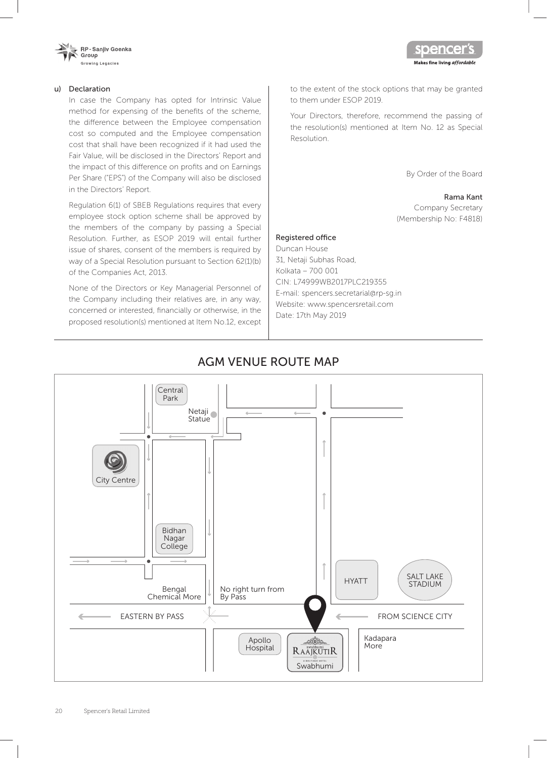

#### u) Declaration

In case the Company has opted for Intrinsic Value method for expensing of the benefits of the scheme, the difference between the Employee compensation cost so computed and the Employee compensation cost that shall have been recognized if it had used the Fair Value, will be disclosed in the Directors' Report and the impact of this difference on profits and on Earnings Per Share ("EPS") of the Company will also be disclosed in the Directors' Report.

Regulation 6(1) of SBEB Regulations requires that every employee stock option scheme shall be approved by the members of the company by passing a Special Resolution. Further, as ESOP 2019 will entail further issue of shares, consent of the members is required by way of a Special Resolution pursuant to Section 62(1)(b) of the Companies Act, 2013.

None of the Directors or Key Managerial Personnel of the Company including their relatives are, in any way, concerned or interested, financially or otherwise, in the proposed resolution(s) mentioned at Item No.12, except to the extent of the stock options that may be granted to them under ESOP 2019.

Your Directors, therefore, recommend the passing of the resolution(s) mentioned at Item No. 12 as Special Resolution.

By Order of the Board

pence

Makes fine living affordable

#### Rama Kant

Company Secretary (Membership No: F4818)

#### Registered office

Duncan House 31, Netaji Subhas Road, Kolkata – 700 001 CIN: L74999WB2017PLC219355 E-mail: spencers.secretarial@rp-sg.in Website: www.spencersretail.com Date: 17th May 2019

# AGM VENUE ROUTE MAP

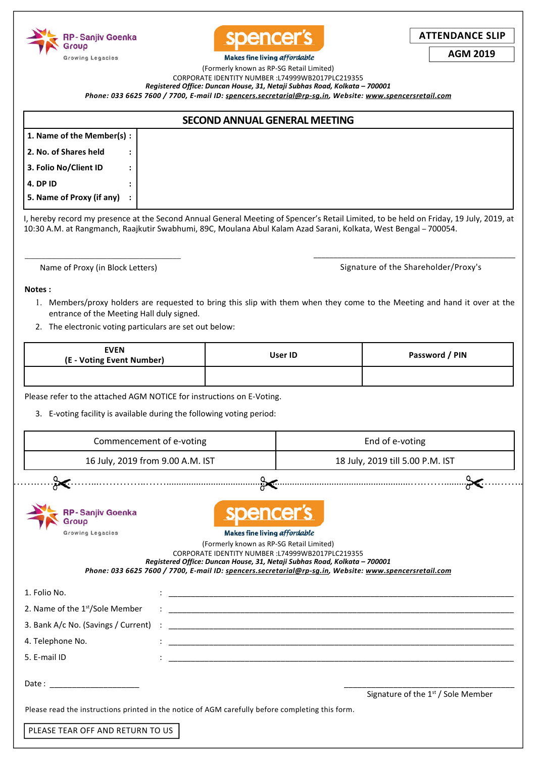



**ATTENDANCE SLIP**

**AGM 2019**

**Makes fine living affordable** (Formerly known as RP-SG Retail Limited)

CORPORATE IDENTITY NUMBER :L74999WB2017PLC219355

*Registered Office: Duncan House, 31, Netaji Subhas Road, Kolkata – 700001*

*Phone: 033 6625 7600 / 7700, E-mail ID: spencers.secretarial@rp-sg.in, Website: www.spencersretail.com*

|                           | <b>SECOND ANNUAL GENERAL MEETING</b>                                                                                                                                                                                                                       |
|---------------------------|------------------------------------------------------------------------------------------------------------------------------------------------------------------------------------------------------------------------------------------------------------|
| 1. Name of the Member(s): |                                                                                                                                                                                                                                                            |
| 2. No. of Shares held     |                                                                                                                                                                                                                                                            |
| 3. Folio No/Client ID     |                                                                                                                                                                                                                                                            |
| <b>4. DP ID</b>           |                                                                                                                                                                                                                                                            |
| 5. Name of Proxy (if any) |                                                                                                                                                                                                                                                            |
|                           | I, hereby record my presence at the Second Annual General Meeting of Spencer's Retail Limited, to be held on Friday, 19 July, 2019, at<br>10:30 A.M. at Rangmanch, Raajkutir Swabhumi, 89C, Moulana Abul Kalam Azad Sarani, Kolkata, West Bengal – 700054. |

\_\_\_\_\_\_\_\_\_\_\_\_\_\_\_\_\_\_\_\_\_\_\_\_\_\_\_\_\_\_\_\_\_\_\_\_\_\_ Name of Proxy (in Block Letters)

\_\_\_\_\_\_\_\_\_\_\_\_\_\_\_\_\_\_\_\_\_\_\_\_\_\_\_\_\_\_\_\_\_\_\_\_\_\_\_\_\_\_\_\_\_\_\_\_\_\_ Signature of the Shareholder/Proxy's

#### **Notes :**

- 1. Members/proxy holders are requested to bring this slip with them when they come to the Meeting and hand it over at the entrance of the Meeting Hall duly signed.
- 2. The electronic voting particulars are set out below:

| <b>EVEN</b><br>(E - Voting Event Number) | User ID | Password / PIN |  |
|------------------------------------------|---------|----------------|--|
|                                          |         |                |  |

Please refer to the attached AGM NOTICE for instructions on E-Voting.

3. E-voting facility is available during the following voting period:

| Commencement of e-voting                                                                         |                                                                                                                                                                                                                                | End of e-voting                                                                                        |  |
|--------------------------------------------------------------------------------------------------|--------------------------------------------------------------------------------------------------------------------------------------------------------------------------------------------------------------------------------|--------------------------------------------------------------------------------------------------------|--|
| 16 July, 2019 from 9.00 A.M. IST                                                                 |                                                                                                                                                                                                                                | 18 July, 2019 till 5.00 P.M. IST                                                                       |  |
|                                                                                                  |                                                                                                                                                                                                                                |                                                                                                        |  |
| - Sanjiv Goenka<br>Growing Legacies                                                              | spencer's<br><b>Makes fine living affordable</b><br>(Formerly known as RP-SG Retail Limited)<br>CORPORATE IDENTITY NUMBER : L74999WB2017PLC219355<br>Registered Office: Duncan House, 31, Netaji Subhas Road, Kolkata - 700001 | Phone: 033 6625 7600 / 7700, E-mail ID: spencers.secretarial@rp-sq.in, Website: www.spencersretail.com |  |
| 1. Folio No.                                                                                     |                                                                                                                                                                                                                                |                                                                                                        |  |
| 2. Name of the 1 <sup>st</sup> /Sole Member                                                      |                                                                                                                                                                                                                                |                                                                                                        |  |
| 3. Bank A/c No. (Savings / Current)                                                              |                                                                                                                                                                                                                                |                                                                                                        |  |
| 4. Telephone No.                                                                                 |                                                                                                                                                                                                                                |                                                                                                        |  |
| 5. E-mail ID                                                                                     |                                                                                                                                                                                                                                |                                                                                                        |  |
|                                                                                                  |                                                                                                                                                                                                                                | Signature of the 1 <sup>st</sup> / Sole Member                                                         |  |
| Please read the instructions printed in the notice of AGM carefully before completing this form. |                                                                                                                                                                                                                                |                                                                                                        |  |
| PLEASE TEAR OFF AND RETURN TO US                                                                 |                                                                                                                                                                                                                                |                                                                                                        |  |